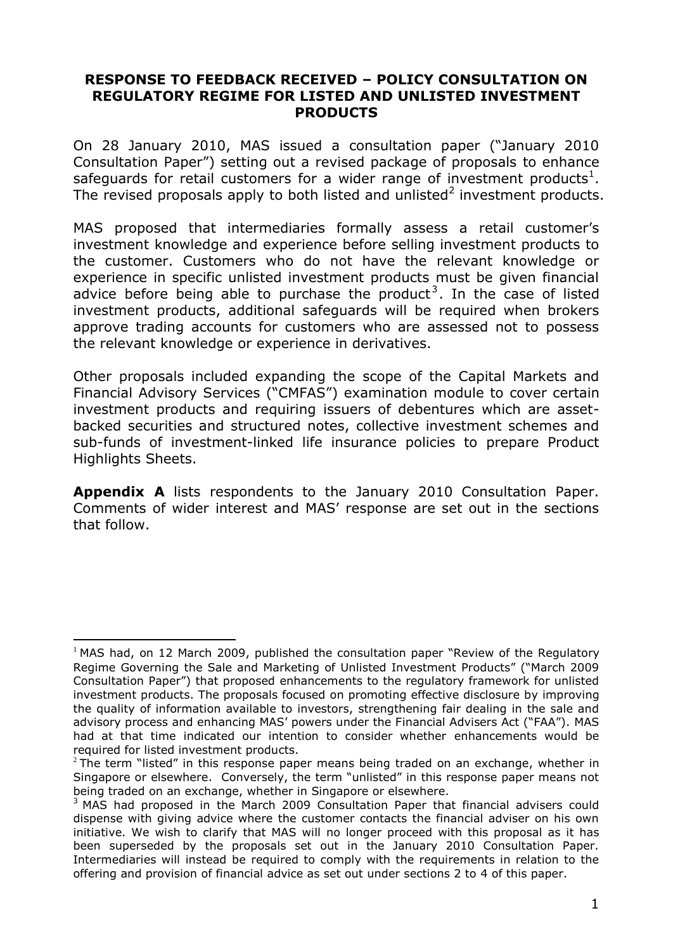#### **RESPONSE TO FEEDBACK RECEIVED – POLICY CONSULTATION ON REGULATORY REGIME FOR LISTED AND UNLISTED INVESTMENT PRODUCTS**

On 28 January 2010, MAS issued a consultation paper ("January 2010 Consultation Paper") setting out a revised package of proposals to enhance safeguards for retail customers for a wider range of investment products<sup>1</sup>. The revised proposals apply to both listed and unlisted<sup>2</sup> investment products.

MAS proposed that intermediaries formally assess a retail customer"s investment knowledge and experience before selling investment products to the customer. Customers who do not have the relevant knowledge or experience in specific unlisted investment products must be given financial advice before being able to purchase the product<sup>3</sup>. In the case of listed investment products, additional safeguards will be required when brokers approve trading accounts for customers who are assessed not to possess the relevant knowledge or experience in derivatives.

Other proposals included expanding the scope of the Capital Markets and Financial Advisory Services ("CMFAS") examination module to cover certain investment products and requiring issuers of debentures which are assetbacked securities and structured notes, collective investment schemes and sub-funds of investment-linked life insurance policies to prepare Product Highlights Sheets.

**Appendix A** lists respondents to the January 2010 Consultation Paper. Comments of wider interest and MAS" response are set out in the sections that follow.

 $\overline{a}$  $1$  MAS had, on 12 March 2009, published the consultation paper "Review of the Regulatory Regime Governing the Sale and Marketing of Unlisted Investment Products" ("March 2009 Consultation Paper") that proposed enhancements to the regulatory framework for unlisted investment products. The proposals focused on promoting effective disclosure by improving the quality of information available to investors, strengthening fair dealing in the sale and advisory process and enhancing MAS" powers under the Financial Advisers Act ("FAA"). MAS had at that time indicated our intention to consider whether enhancements would be required for listed investment products.

 $2$  The term "listed" in this response paper means being traded on an exchange, whether in Singapore or elsewhere. Conversely, the term "unlisted" in this response paper means not being traded on an exchange, whether in Singapore or elsewhere.

<sup>&</sup>lt;sup>3</sup> MAS had proposed in the March 2009 Consultation Paper that financial advisers could dispense with giving advice where the customer contacts the financial adviser on his own initiative. We wish to clarify that MAS will no longer proceed with this proposal as it has been superseded by the proposals set out in the January 2010 Consultation Paper. Intermediaries will instead be required to comply with the requirements in relation to the offering and provision of financial advice as set out under sections 2 to 4 of this paper.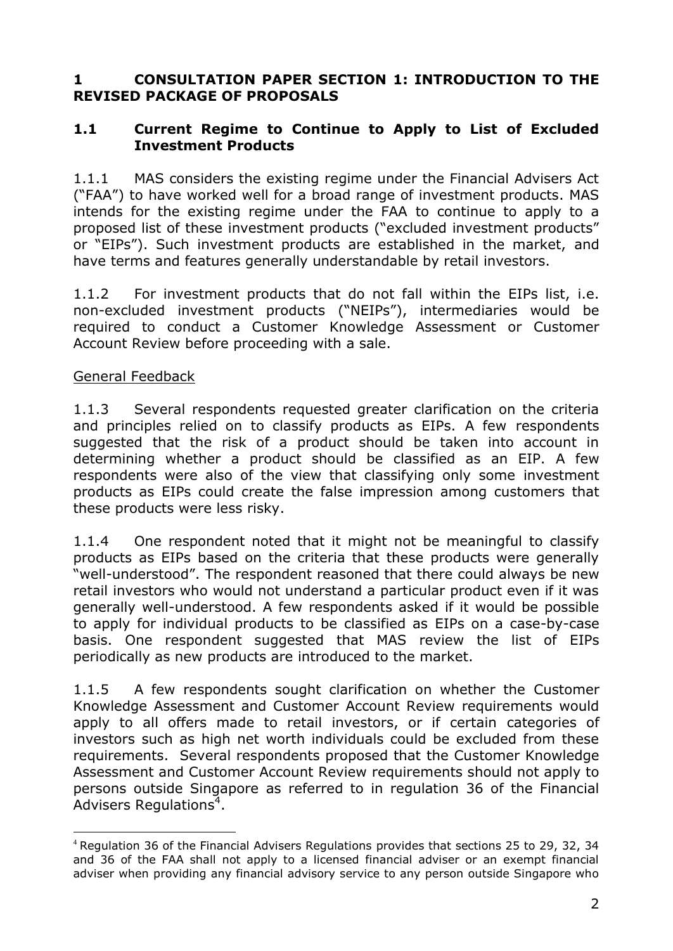### **1 CONSULTATION PAPER SECTION 1: INTRODUCTION TO THE REVISED PACKAGE OF PROPOSALS**

#### **1.1 Current Regime to Continue to Apply to List of Excluded Investment Products**

1.1.1 MAS considers the existing regime under the Financial Advisers Act ("FAA") to have worked well for a broad range of investment products. MAS intends for the existing regime under the FAA to continue to apply to a proposed list of these investment products ("excluded investment products" or "EIPs"). Such investment products are established in the market, and have terms and features generally understandable by retail investors.

1.1.2 For investment products that do not fall within the EIPs list, i.e. non-excluded investment products ("NEIPs"), intermediaries would be required to conduct a Customer Knowledge Assessment or Customer Account Review before proceeding with a sale.

#### General Feedback

 $\overline{a}$ 

1.1.3 Several respondents requested greater clarification on the criteria and principles relied on to classify products as EIPs. A few respondents suggested that the risk of a product should be taken into account in determining whether a product should be classified as an EIP. A few respondents were also of the view that classifying only some investment products as EIPs could create the false impression among customers that these products were less risky.

1.1.4 One respondent noted that it might not be meaningful to classify products as EIPs based on the criteria that these products were generally "well-understood". The respondent reasoned that there could always be new retail investors who would not understand a particular product even if it was generally well-understood. A few respondents asked if it would be possible to apply for individual products to be classified as EIPs on a case-by-case basis. One respondent suggested that MAS review the list of EIPs periodically as new products are introduced to the market.

1.1.5 A few respondents sought clarification on whether the Customer Knowledge Assessment and Customer Account Review requirements would apply to all offers made to retail investors, or if certain categories of investors such as high net worth individuals could be excluded from these requirements. Several respondents proposed that the Customer Knowledge Assessment and Customer Account Review requirements should not apply to persons outside Singapore as referred to in regulation 36 of the Financial Advisers Regulations<sup>4</sup>.

<sup>4</sup> Regulation 36 of the Financial Advisers Regulations provides that sections 25 to 29, 32, 34 and 36 of the FAA shall not apply to a licensed financial adviser or an exempt financial adviser when providing any financial advisory service to any person outside Singapore who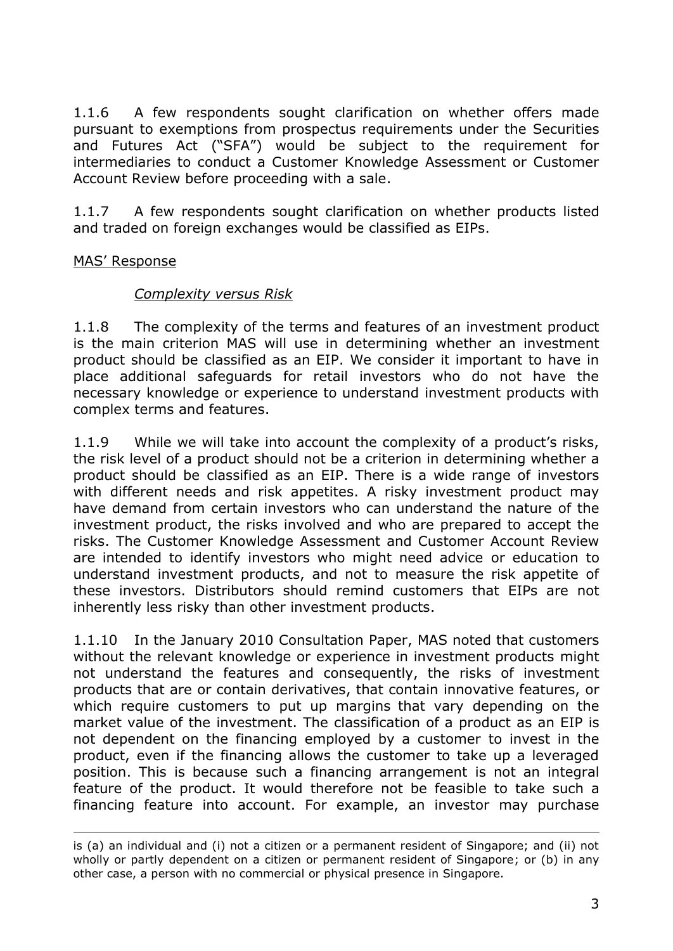1.1.6 A few respondents sought clarification on whether offers made pursuant to exemptions from prospectus requirements under the Securities and Futures Act ("SFA") would be subject to the requirement for intermediaries to conduct a Customer Knowledge Assessment or Customer Account Review before proceeding with a sale.

1.1.7 A few respondents sought clarification on whether products listed and traded on foreign exchanges would be classified as EIPs.

### MAS" Response

<u>.</u>

#### *Complexity versus Risk*

1.1.8 The complexity of the terms and features of an investment product is the main criterion MAS will use in determining whether an investment product should be classified as an EIP. We consider it important to have in place additional safeguards for retail investors who do not have the necessary knowledge or experience to understand investment products with complex terms and features.

1.1.9 While we will take into account the complexity of a product's risks, the risk level of a product should not be a criterion in determining whether a product should be classified as an EIP. There is a wide range of investors with different needs and risk appetites. A risky investment product may have demand from certain investors who can understand the nature of the investment product, the risks involved and who are prepared to accept the risks. The Customer Knowledge Assessment and Customer Account Review are intended to identify investors who might need advice or education to understand investment products, and not to measure the risk appetite of these investors. Distributors should remind customers that EIPs are not inherently less risky than other investment products.

1.1.10 In the January 2010 Consultation Paper, MAS noted that customers without the relevant knowledge or experience in investment products might not understand the features and consequently, the risks of investment products that are or contain derivatives, that contain innovative features, or which require customers to put up margins that vary depending on the market value of the investment. The classification of a product as an EIP is not dependent on the financing employed by a customer to invest in the product, even if the financing allows the customer to take up a leveraged position. This is because such a financing arrangement is not an integral feature of the product. It would therefore not be feasible to take such a financing feature into account. For example, an investor may purchase

is (a) an individual and (i) not a citizen or a permanent resident of Singapore; and (ii) not wholly or partly dependent on a citizen or permanent resident of Singapore; or (b) in any other case, a person with no commercial or physical presence in Singapore.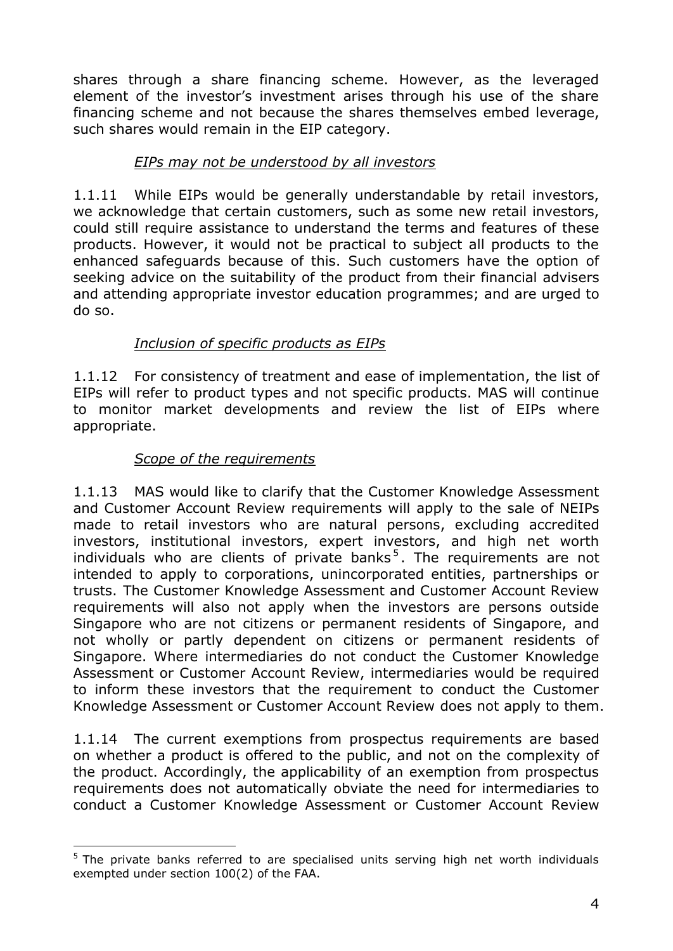shares through a share financing scheme. However, as the leveraged element of the investor's investment arises through his use of the share financing scheme and not because the shares themselves embed leverage, such shares would remain in the EIP category.

## *EIPs may not be understood by all investors*

1.1.11 While EIPs would be generally understandable by retail investors, we acknowledge that certain customers, such as some new retail investors, could still require assistance to understand the terms and features of these products. However, it would not be practical to subject all products to the enhanced safeguards because of this. Such customers have the option of seeking advice on the suitability of the product from their financial advisers and attending appropriate investor education programmes; and are urged to do so.

### *Inclusion of specific products as EIPs*

1.1.12 For consistency of treatment and ease of implementation, the list of EIPs will refer to product types and not specific products. MAS will continue to monitor market developments and review the list of EIPs where appropriate.

### *Scope of the requirements*

 $\overline{a}$ 

1.1.13 MAS would like to clarify that the Customer Knowledge Assessment and Customer Account Review requirements will apply to the sale of NEIPs made to retail investors who are natural persons, excluding accredited investors, institutional investors, expert investors, and high net worth individuals who are clients of private banks<sup>5</sup>. The requirements are not intended to apply to corporations, unincorporated entities, partnerships or trusts. The Customer Knowledge Assessment and Customer Account Review requirements will also not apply when the investors are persons outside Singapore who are not citizens or permanent residents of Singapore, and not wholly or partly dependent on citizens or permanent residents of Singapore. Where intermediaries do not conduct the Customer Knowledge Assessment or Customer Account Review, intermediaries would be required to inform these investors that the requirement to conduct the Customer Knowledge Assessment or Customer Account Review does not apply to them.

1.1.14 The current exemptions from prospectus requirements are based on whether a product is offered to the public, and not on the complexity of the product. Accordingly, the applicability of an exemption from prospectus requirements does not automatically obviate the need for intermediaries to conduct a Customer Knowledge Assessment or Customer Account Review

 $5$  The private banks referred to are specialised units serving high net worth individuals exempted under section 100(2) of the FAA.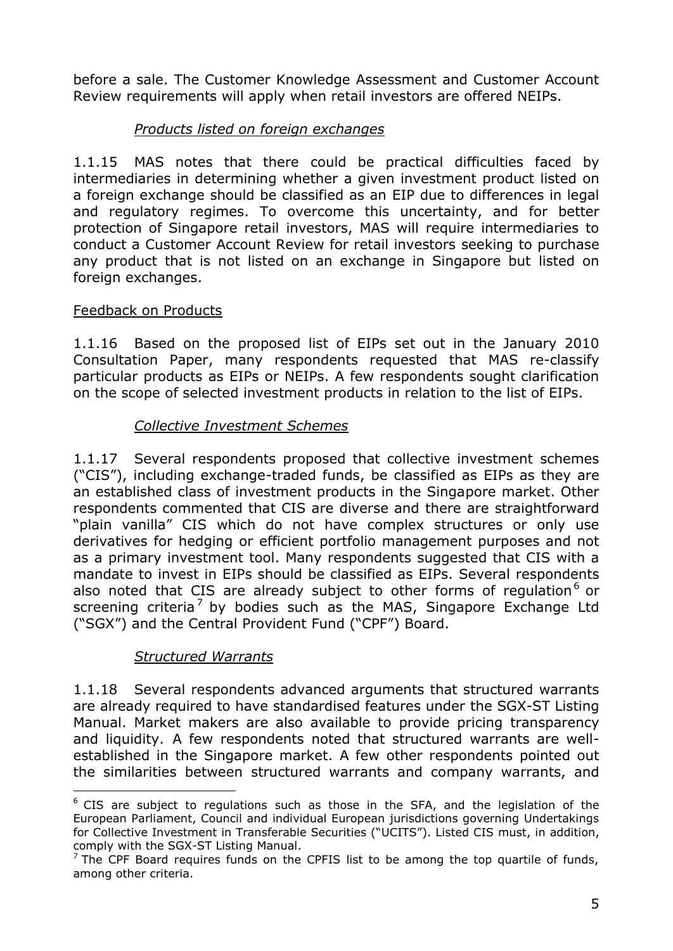before a sale. The Customer Knowledge Assessment and Customer Account Review requirements will apply when retail investors are offered NEIPs.

## *Products listed on foreign exchanges*

1.1.15 MAS notes that there could be practical difficulties faced by intermediaries in determining whether a given investment product listed on a foreign exchange should be classified as an EIP due to differences in legal and regulatory regimes. To overcome this uncertainty, and for better protection of Singapore retail investors, MAS will require intermediaries to conduct a Customer Account Review for retail investors seeking to purchase any product that is not listed on an exchange in Singapore but listed on foreign exchanges.

### Feedback on Products

1.1.16 Based on the proposed list of EIPs set out in the January 2010 Consultation Paper, many respondents requested that MAS re-classify particular products as EIPs or NEIPs. A few respondents sought clarification on the scope of selected investment products in relation to the list of EIPs.

### *Collective Investment Schemes*

1.1.17 Several respondents proposed that collective investment schemes ("CIS"), including exchange-traded funds, be classified as EIPs as they are an established class of investment products in the Singapore market. Other respondents commented that CIS are diverse and there are straightforward "plain vanilla" CIS which do not have complex structures or only use derivatives for hedging or efficient portfolio management purposes and not as a primary investment tool. Many respondents suggested that CIS with a mandate to invest in EIPs should be classified as EIPs. Several respondents also noted that CIS are already subject to other forms of regulation $<sup>6</sup>$  or</sup> screening criteria<sup>7</sup> by bodies such as the MAS, Singapore Exchange Ltd ("SGX") and the Central Provident Fund ("CPF") Board.

### *Structured Warrants*

 $\overline{a}$ 

1.1.18 Several respondents advanced arguments that structured warrants are already required to have standardised features under the SGX-ST Listing Manual. Market makers are also available to provide pricing transparency and liquidity. A few respondents noted that structured warrants are wellestablished in the Singapore market. A few other respondents pointed out the similarities between structured warrants and company warrants, and

 $6$  CIS are subject to regulations such as those in the SFA, and the legislation of the European Parliament, Council and individual European jurisdictions governing Undertakings for Collective Investment in Transferable Securities ("UCITS"). Listed CIS must, in addition, comply with the SGX-ST Listing Manual.

 $<sup>7</sup>$  The CPF Board requires funds on the CPFIS list to be among the top quartile of funds,</sup> among other criteria.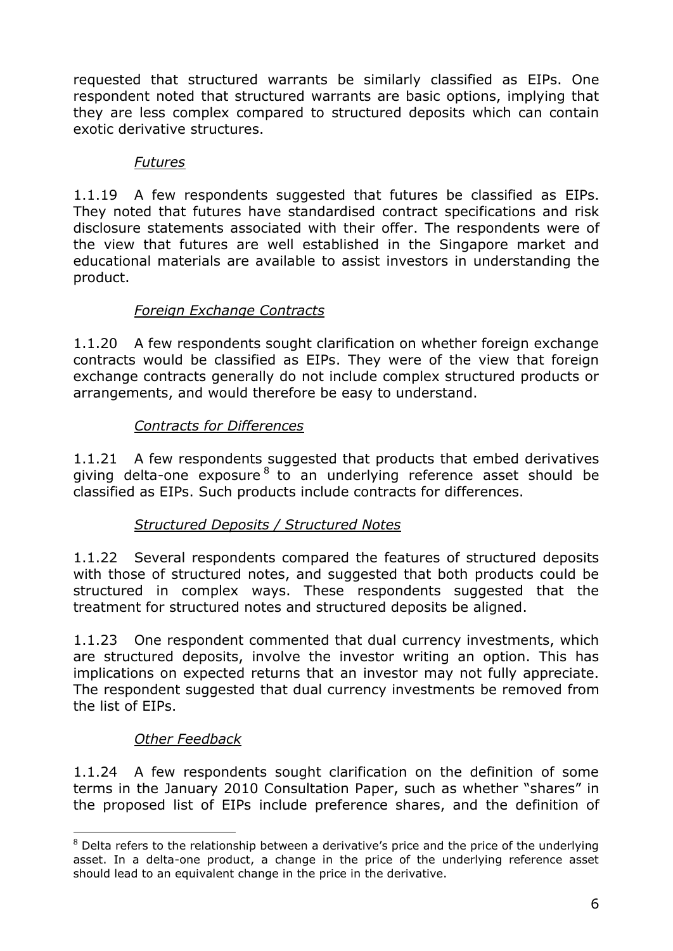requested that structured warrants be similarly classified as EIPs. One respondent noted that structured warrants are basic options, implying that they are less complex compared to structured deposits which can contain exotic derivative structures.

### *Futures*

1.1.19 A few respondents suggested that futures be classified as EIPs. They noted that futures have standardised contract specifications and risk disclosure statements associated with their offer. The respondents were of the view that futures are well established in the Singapore market and educational materials are available to assist investors in understanding the product.

# *Foreign Exchange Contracts*

1.1.20 A few respondents sought clarification on whether foreign exchange contracts would be classified as EIPs. They were of the view that foreign exchange contracts generally do not include complex structured products or arrangements, and would therefore be easy to understand.

## *Contracts for Differences*

1.1.21 A few respondents suggested that products that embed derivatives giving delta-one exposure<sup>8</sup> to an underlying reference asset should be classified as EIPs. Such products include contracts for differences.

## *Structured Deposits / Structured Notes*

1.1.22 Several respondents compared the features of structured deposits with those of structured notes, and suggested that both products could be structured in complex ways. These respondents suggested that the treatment for structured notes and structured deposits be aligned.

1.1.23 One respondent commented that dual currency investments, which are structured deposits, involve the investor writing an option. This has implications on expected returns that an investor may not fully appreciate. The respondent suggested that dual currency investments be removed from the list of EIPs.

# *Other Feedback*

 $\overline{a}$ 

1.1.24 A few respondents sought clarification on the definition of some terms in the January 2010 Consultation Paper, such as whether "shares" in the proposed list of EIPs include preference shares, and the definition of

 $8$  Delta refers to the relationship between a derivative's price and the price of the underlying asset. In a delta-one product, a change in the price of the underlying reference asset should lead to an equivalent change in the price in the derivative.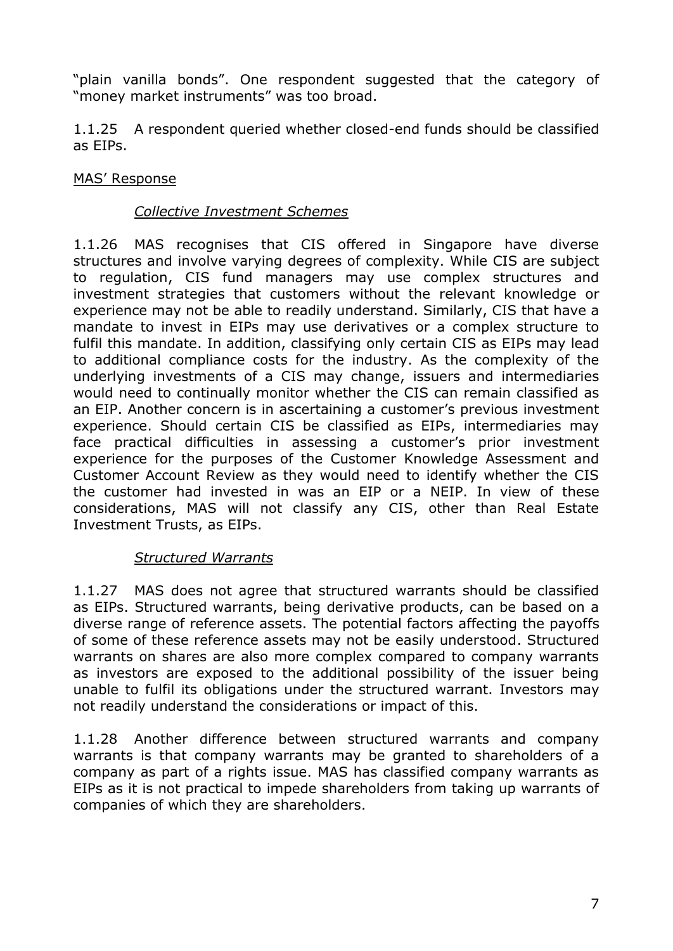"plain vanilla bonds". One respondent suggested that the category of "money market instruments" was too broad.

1.1.25 A respondent queried whether closed-end funds should be classified as EIPs.

### MAS" Response

#### *Collective Investment Schemes*

1.1.26 MAS recognises that CIS offered in Singapore have diverse structures and involve varying degrees of complexity. While CIS are subject to regulation, CIS fund managers may use complex structures and investment strategies that customers without the relevant knowledge or experience may not be able to readily understand. Similarly, CIS that have a mandate to invest in EIPs may use derivatives or a complex structure to fulfil this mandate. In addition, classifying only certain CIS as EIPs may lead to additional compliance costs for the industry. As the complexity of the underlying investments of a CIS may change, issuers and intermediaries would need to continually monitor whether the CIS can remain classified as an EIP. Another concern is in ascertaining a customer's previous investment experience. Should certain CIS be classified as EIPs, intermediaries may face practical difficulties in assessing a customer's prior investment experience for the purposes of the Customer Knowledge Assessment and Customer Account Review as they would need to identify whether the CIS the customer had invested in was an EIP or a NEIP. In view of these considerations, MAS will not classify any CIS, other than Real Estate Investment Trusts, as EIPs.

### *Structured Warrants*

1.1.27 MAS does not agree that structured warrants should be classified as EIPs. Structured warrants, being derivative products, can be based on a diverse range of reference assets. The potential factors affecting the payoffs of some of these reference assets may not be easily understood. Structured warrants on shares are also more complex compared to company warrants as investors are exposed to the additional possibility of the issuer being unable to fulfil its obligations under the structured warrant. Investors may not readily understand the considerations or impact of this.

1.1.28 Another difference between structured warrants and company warrants is that company warrants may be granted to shareholders of a company as part of a rights issue. MAS has classified company warrants as EIPs as it is not practical to impede shareholders from taking up warrants of companies of which they are shareholders.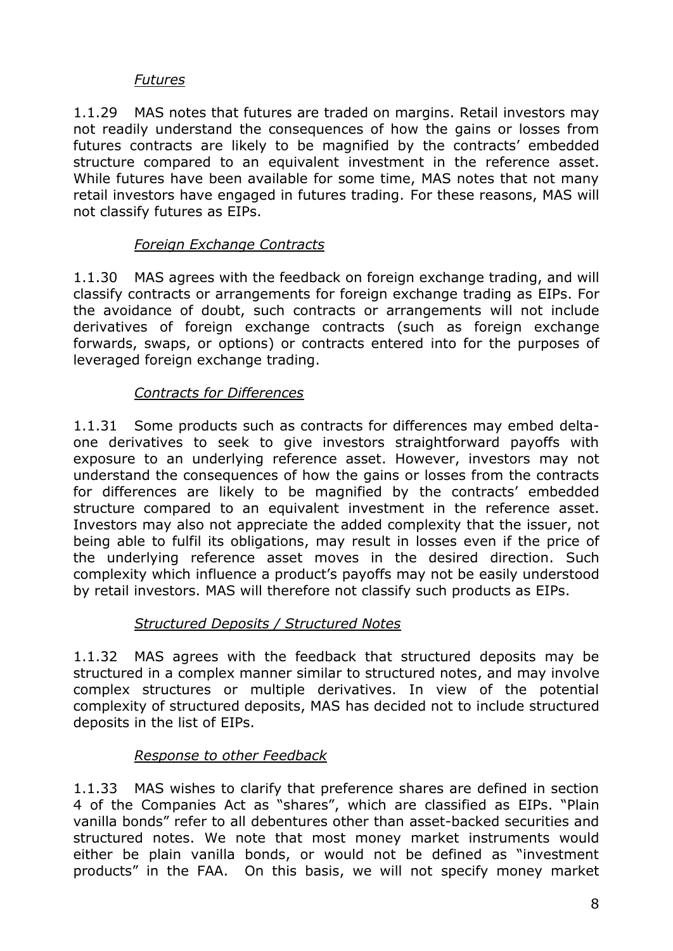#### *Futures*

1.1.29 MAS notes that futures are traded on margins. Retail investors may not readily understand the consequences of how the gains or losses from futures contracts are likely to be magnified by the contracts' embedded structure compared to an equivalent investment in the reference asset. While futures have been available for some time, MAS notes that not many retail investors have engaged in futures trading. For these reasons, MAS will not classify futures as EIPs.

### *Foreign Exchange Contracts*

1.1.30 MAS agrees with the feedback on foreign exchange trading, and will classify contracts or arrangements for foreign exchange trading as EIPs. For the avoidance of doubt, such contracts or arrangements will not include derivatives of foreign exchange contracts (such as foreign exchange forwards, swaps, or options) or contracts entered into for the purposes of leveraged foreign exchange trading.

### *Contracts for Differences*

1.1.31 Some products such as contracts for differences may embed deltaone derivatives to seek to give investors straightforward payoffs with exposure to an underlying reference asset. However, investors may not understand the consequences of how the gains or losses from the contracts for differences are likely to be magnified by the contracts' embedded structure compared to an equivalent investment in the reference asset. Investors may also not appreciate the added complexity that the issuer, not being able to fulfil its obligations, may result in losses even if the price of the underlying reference asset moves in the desired direction. Such complexity which influence a product's payoffs may not be easily understood by retail investors. MAS will therefore not classify such products as EIPs.

### *Structured Deposits / Structured Notes*

1.1.32 MAS agrees with the feedback that structured deposits may be structured in a complex manner similar to structured notes, and may involve complex structures or multiple derivatives. In view of the potential complexity of structured deposits, MAS has decided not to include structured deposits in the list of EIPs.

### *Response to other Feedback*

1.1.33 MAS wishes to clarify that preference shares are defined in section 4 of the Companies Act as "shares", which are classified as EIPs. "Plain vanilla bonds" refer to all debentures other than asset-backed securities and structured notes. We note that most money market instruments would either be plain vanilla bonds, or would not be defined as "investment products" in the FAA. On this basis, we will not specify money market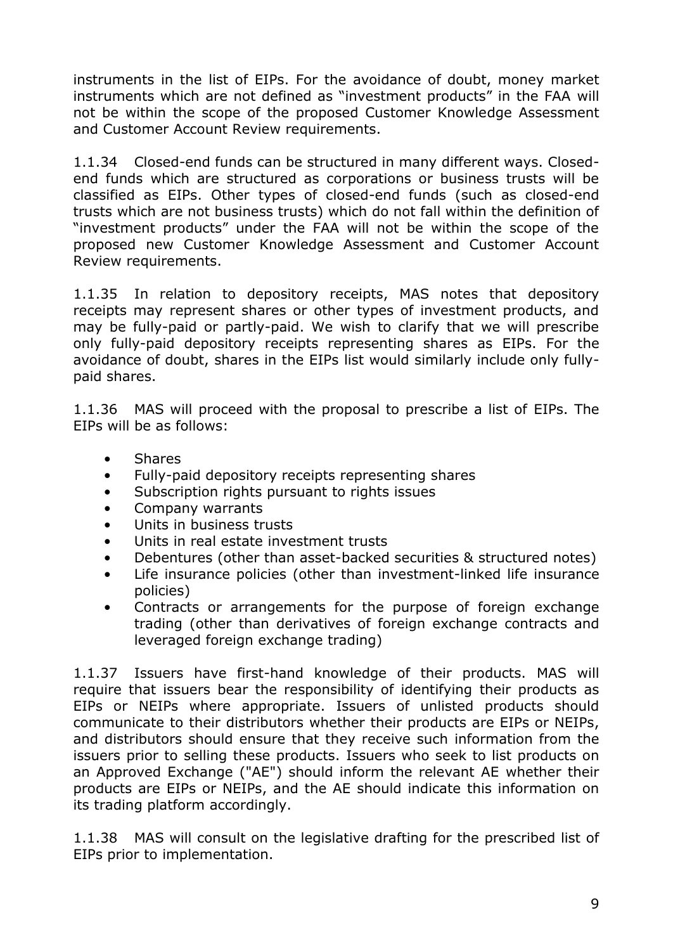instruments in the list of EIPs. For the avoidance of doubt, money market instruments which are not defined as "investment products" in the FAA will not be within the scope of the proposed Customer Knowledge Assessment and Customer Account Review requirements.

1.1.34 Closed-end funds can be structured in many different ways. Closedend funds which are structured as corporations or business trusts will be classified as EIPs. Other types of closed-end funds (such as closed-end trusts which are not business trusts) which do not fall within the definition of "investment products" under the FAA will not be within the scope of the proposed new Customer Knowledge Assessment and Customer Account Review requirements.

1.1.35 In relation to depository receipts, MAS notes that depository receipts may represent shares or other types of investment products, and may be fully-paid or partly-paid. We wish to clarify that we will prescribe only fully-paid depository receipts representing shares as EIPs. For the avoidance of doubt, shares in the EIPs list would similarly include only fullypaid shares.

1.1.36 MAS will proceed with the proposal to prescribe a list of EIPs. The EIPs will be as follows:

- Shares
- Fully-paid depository receipts representing shares
- Subscription rights pursuant to rights issues
- Company warrants
- Units in business trusts
- Units in real estate investment trusts
- Debentures (other than asset-backed securities & structured notes)
- Life insurance policies (other than investment-linked life insurance policies)
- Contracts or arrangements for the purpose of foreign exchange trading (other than derivatives of foreign exchange contracts and leveraged foreign exchange trading)

1.1.37 Issuers have first-hand knowledge of their products. MAS will require that issuers bear the responsibility of identifying their products as EIPs or NEIPs where appropriate. Issuers of unlisted products should communicate to their distributors whether their products are EIPs or NEIPs, and distributors should ensure that they receive such information from the issuers prior to selling these products. Issuers who seek to list products on an Approved Exchange ("AE") should inform the relevant AE whether their products are EIPs or NEIPs, and the AE should indicate this information on its trading platform accordingly.

1.1.38 MAS will consult on the legislative drafting for the prescribed list of EIPs prior to implementation.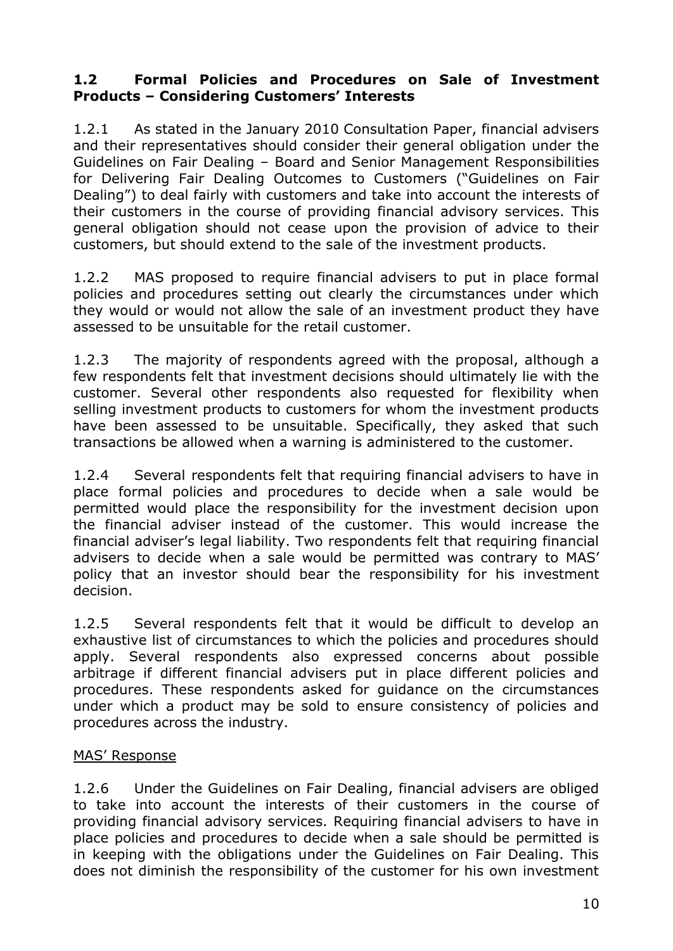#### **1.2 Formal Policies and Procedures on Sale of Investment Products – Considering Customers' Interests**

1.2.1 As stated in the January 2010 Consultation Paper, financial advisers and their representatives should consider their general obligation under the Guidelines on Fair Dealing – Board and Senior Management Responsibilities for Delivering Fair Dealing Outcomes to Customers ("Guidelines on Fair Dealing") to deal fairly with customers and take into account the interests of their customers in the course of providing financial advisory services. This general obligation should not cease upon the provision of advice to their customers, but should extend to the sale of the investment products.

1.2.2 MAS proposed to require financial advisers to put in place formal policies and procedures setting out clearly the circumstances under which they would or would not allow the sale of an investment product they have assessed to be unsuitable for the retail customer.

1.2.3 The majority of respondents agreed with the proposal, although a few respondents felt that investment decisions should ultimately lie with the customer. Several other respondents also requested for flexibility when selling investment products to customers for whom the investment products have been assessed to be unsuitable. Specifically, they asked that such transactions be allowed when a warning is administered to the customer.

1.2.4 Several respondents felt that requiring financial advisers to have in place formal policies and procedures to decide when a sale would be permitted would place the responsibility for the investment decision upon the financial adviser instead of the customer. This would increase the financial adviser"s legal liability. Two respondents felt that requiring financial advisers to decide when a sale would be permitted was contrary to MAS" policy that an investor should bear the responsibility for his investment decision.

1.2.5 Several respondents felt that it would be difficult to develop an exhaustive list of circumstances to which the policies and procedures should apply. Several respondents also expressed concerns about possible arbitrage if different financial advisers put in place different policies and procedures. These respondents asked for guidance on the circumstances under which a product may be sold to ensure consistency of policies and procedures across the industry.

#### MAS' Response

1.2.6 Under the Guidelines on Fair Dealing, financial advisers are obliged to take into account the interests of their customers in the course of providing financial advisory services. Requiring financial advisers to have in place policies and procedures to decide when a sale should be permitted is in keeping with the obligations under the Guidelines on Fair Dealing. This does not diminish the responsibility of the customer for his own investment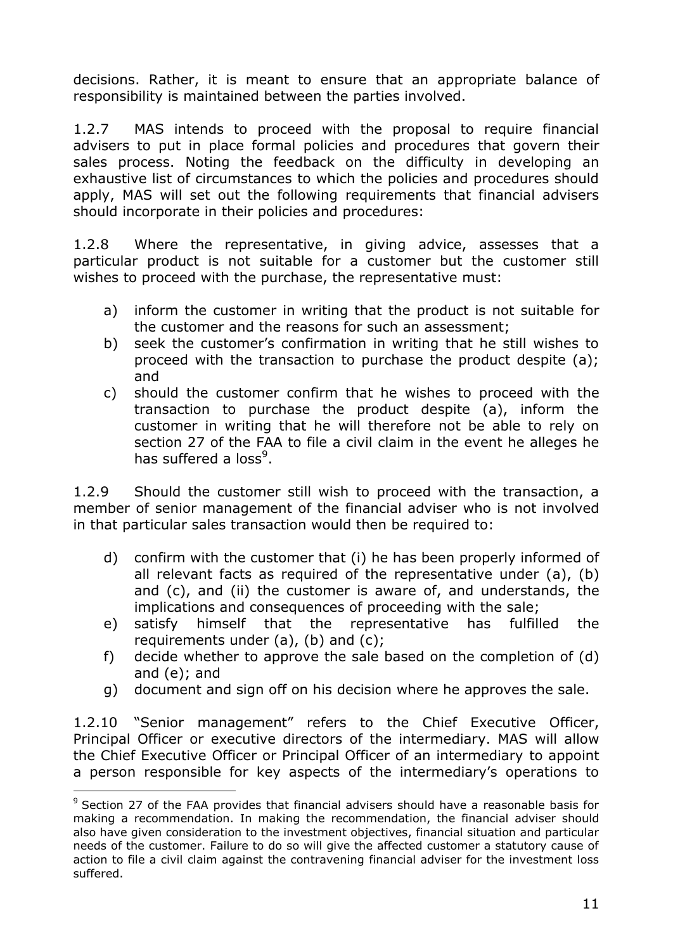decisions. Rather, it is meant to ensure that an appropriate balance of responsibility is maintained between the parties involved.

1.2.7 MAS intends to proceed with the proposal to require financial advisers to put in place formal policies and procedures that govern their sales process. Noting the feedback on the difficulty in developing an exhaustive list of circumstances to which the policies and procedures should apply, MAS will set out the following requirements that financial advisers should incorporate in their policies and procedures:

1.2.8 Where the representative, in giving advice, assesses that a particular product is not suitable for a customer but the customer still wishes to proceed with the purchase, the representative must:

- a) inform the customer in writing that the product is not suitable for the customer and the reasons for such an assessment;
- b) seek the customer"s confirmation in writing that he still wishes to proceed with the transaction to purchase the product despite (a); and
- c) should the customer confirm that he wishes to proceed with the transaction to purchase the product despite (a), inform the customer in writing that he will therefore not be able to rely on section 27 of the FAA to file a civil claim in the event he alleges he has suffered a loss<sup>9</sup>.

1.2.9 Should the customer still wish to proceed with the transaction, a member of senior management of the financial adviser who is not involved in that particular sales transaction would then be required to:

- d) confirm with the customer that (i) he has been properly informed of all relevant facts as required of the representative under (a), (b) and (c), and (ii) the customer is aware of, and understands, the implications and consequences of proceeding with the sale;
- e) satisfy himself that the representative has fulfilled the requirements under  $(a)$ ,  $(b)$  and  $(c)$ ;
- f) decide whether to approve the sale based on the completion of (d) and (e); and
- g) document and sign off on his decision where he approves the sale.

1.2.10 "Senior management" refers to the Chief Executive Officer, Principal Officer or executive directors of the intermediary. MAS will allow the Chief Executive Officer or Principal Officer of an intermediary to appoint a person responsible for key aspects of the intermediary's operations to

 $\overline{a}$ 

<sup>&</sup>lt;sup>9</sup> Section 27 of the FAA provides that financial advisers should have a reasonable basis for making a recommendation. In making the recommendation, the financial adviser should also have given consideration to the investment objectives, financial situation and particular needs of the customer. Failure to do so will give the affected customer a statutory cause of action to file a civil claim against the contravening financial adviser for the investment loss suffered.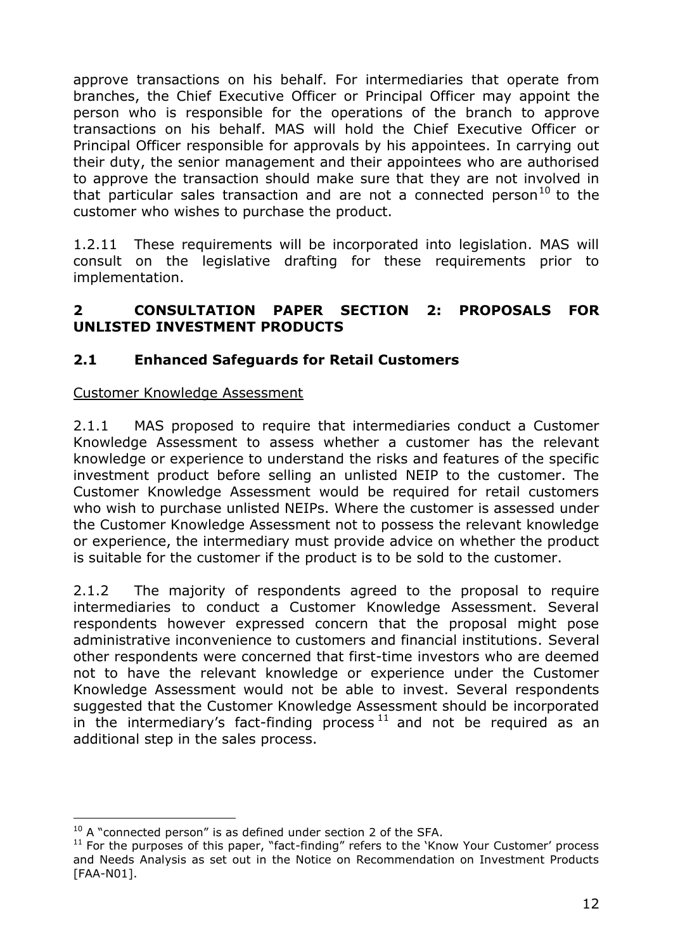approve transactions on his behalf. For intermediaries that operate from branches, the Chief Executive Officer or Principal Officer may appoint the person who is responsible for the operations of the branch to approve transactions on his behalf. MAS will hold the Chief Executive Officer or Principal Officer responsible for approvals by his appointees. In carrying out their duty, the senior management and their appointees who are authorised to approve the transaction should make sure that they are not involved in that particular sales transaction and are not a connected person<sup>10</sup> to the customer who wishes to purchase the product.

1.2.11 These requirements will be incorporated into legislation. MAS will consult on the legislative drafting for these requirements prior to implementation.

### **2 CONSULTATION PAPER SECTION 2: PROPOSALS FOR UNLISTED INVESTMENT PRODUCTS**

## **2.1 Enhanced Safeguards for Retail Customers**

### Customer Knowledge Assessment

2.1.1 MAS proposed to require that intermediaries conduct a Customer Knowledge Assessment to assess whether a customer has the relevant knowledge or experience to understand the risks and features of the specific investment product before selling an unlisted NEIP to the customer. The Customer Knowledge Assessment would be required for retail customers who wish to purchase unlisted NEIPs. Where the customer is assessed under the Customer Knowledge Assessment not to possess the relevant knowledge or experience, the intermediary must provide advice on whether the product is suitable for the customer if the product is to be sold to the customer.

2.1.2 The majority of respondents agreed to the proposal to require intermediaries to conduct a Customer Knowledge Assessment. Several respondents however expressed concern that the proposal might pose administrative inconvenience to customers and financial institutions. Several other respondents were concerned that first-time investors who are deemed not to have the relevant knowledge or experience under the Customer Knowledge Assessment would not be able to invest. Several respondents suggested that the Customer Knowledge Assessment should be incorporated in the intermediary's fact-finding process  $11$  and not be required as an additional step in the sales process.

 $\overline{a}$ 

 $10$  A "connected person" is as defined under section 2 of the SFA.

 $11$  For the purposes of this paper, "fact-finding" refers to the 'Know Your Customer' process and Needs Analysis as set out in the Notice on Recommendation on Investment Products [FAA-N01].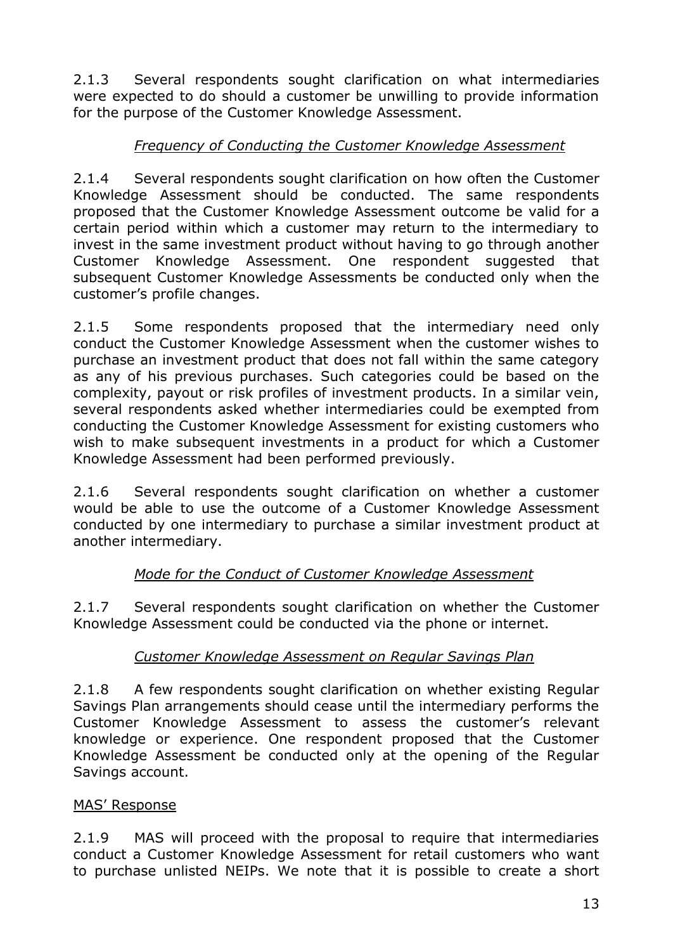2.1.3 Several respondents sought clarification on what intermediaries were expected to do should a customer be unwilling to provide information for the purpose of the Customer Knowledge Assessment.

## *Frequency of Conducting the Customer Knowledge Assessment*

2.1.4 Several respondents sought clarification on how often the Customer Knowledge Assessment should be conducted. The same respondents proposed that the Customer Knowledge Assessment outcome be valid for a certain period within which a customer may return to the intermediary to invest in the same investment product without having to go through another Customer Knowledge Assessment. One respondent suggested that subsequent Customer Knowledge Assessments be conducted only when the customer"s profile changes.

2.1.5 Some respondents proposed that the intermediary need only conduct the Customer Knowledge Assessment when the customer wishes to purchase an investment product that does not fall within the same category as any of his previous purchases. Such categories could be based on the complexity, payout or risk profiles of investment products. In a similar vein, several respondents asked whether intermediaries could be exempted from conducting the Customer Knowledge Assessment for existing customers who wish to make subsequent investments in a product for which a Customer Knowledge Assessment had been performed previously.

2.1.6 Several respondents sought clarification on whether a customer would be able to use the outcome of a Customer Knowledge Assessment conducted by one intermediary to purchase a similar investment product at another intermediary.

## *Mode for the Conduct of Customer Knowledge Assessment*

2.1.7 Several respondents sought clarification on whether the Customer Knowledge Assessment could be conducted via the phone or internet.

## *Customer Knowledge Assessment on Regular Savings Plan*

2.1.8 A few respondents sought clarification on whether existing Regular Savings Plan arrangements should cease until the intermediary performs the Customer Knowledge Assessment to assess the customer"s relevant knowledge or experience. One respondent proposed that the Customer Knowledge Assessment be conducted only at the opening of the Regular Savings account.

## MAS" Response

2.1.9 MAS will proceed with the proposal to require that intermediaries conduct a Customer Knowledge Assessment for retail customers who want to purchase unlisted NEIPs. We note that it is possible to create a short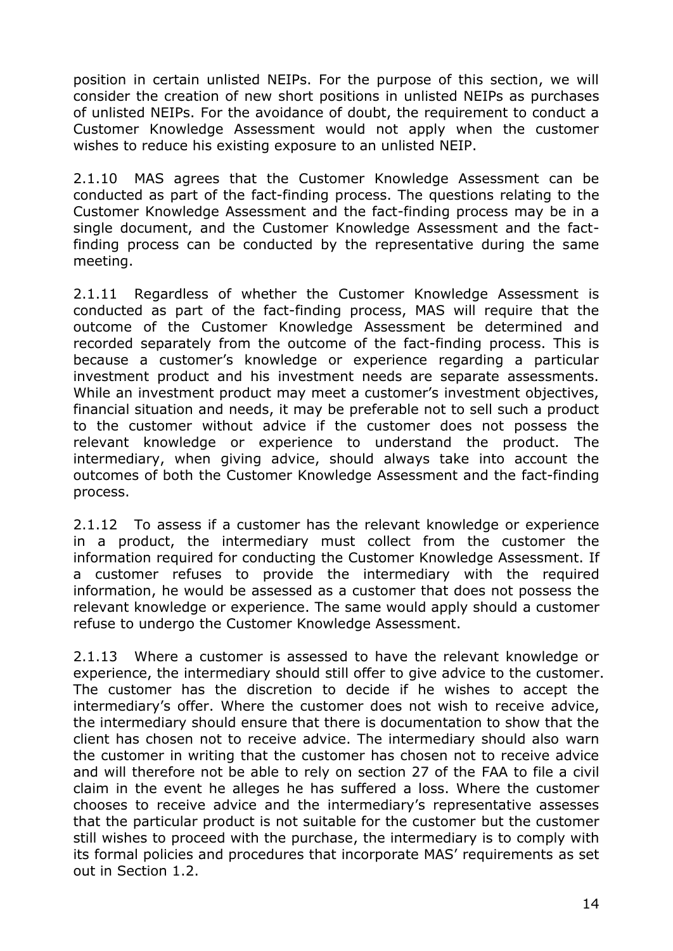position in certain unlisted NEIPs. For the purpose of this section, we will consider the creation of new short positions in unlisted NEIPs as purchases of unlisted NEIPs. For the avoidance of doubt, the requirement to conduct a Customer Knowledge Assessment would not apply when the customer wishes to reduce his existing exposure to an unlisted NEIP.

2.1.10 MAS agrees that the Customer Knowledge Assessment can be conducted as part of the fact-finding process. The questions relating to the Customer Knowledge Assessment and the fact-finding process may be in a single document, and the Customer Knowledge Assessment and the factfinding process can be conducted by the representative during the same meeting.

2.1.11 Regardless of whether the Customer Knowledge Assessment is conducted as part of the fact-finding process, MAS will require that the outcome of the Customer Knowledge Assessment be determined and recorded separately from the outcome of the fact-finding process. This is because a customer"s knowledge or experience regarding a particular investment product and his investment needs are separate assessments. While an investment product may meet a customer's investment objectives, financial situation and needs, it may be preferable not to sell such a product to the customer without advice if the customer does not possess the relevant knowledge or experience to understand the product. The intermediary, when giving advice, should always take into account the outcomes of both the Customer Knowledge Assessment and the fact-finding process.

2.1.12 To assess if a customer has the relevant knowledge or experience in a product, the intermediary must collect from the customer the information required for conducting the Customer Knowledge Assessment. If a customer refuses to provide the intermediary with the required information, he would be assessed as a customer that does not possess the relevant knowledge or experience. The same would apply should a customer refuse to undergo the Customer Knowledge Assessment.

2.1.13 Where a customer is assessed to have the relevant knowledge or experience, the intermediary should still offer to give advice to the customer. The customer has the discretion to decide if he wishes to accept the intermediary"s offer. Where the customer does not wish to receive advice, the intermediary should ensure that there is documentation to show that the client has chosen not to receive advice. The intermediary should also warn the customer in writing that the customer has chosen not to receive advice and will therefore not be able to rely on section 27 of the FAA to file a civil claim in the event he alleges he has suffered a loss. Where the customer chooses to receive advice and the intermediary"s representative assesses that the particular product is not suitable for the customer but the customer still wishes to proceed with the purchase, the intermediary is to comply with its formal policies and procedures that incorporate MAS' requirements as set out in Section 1.2.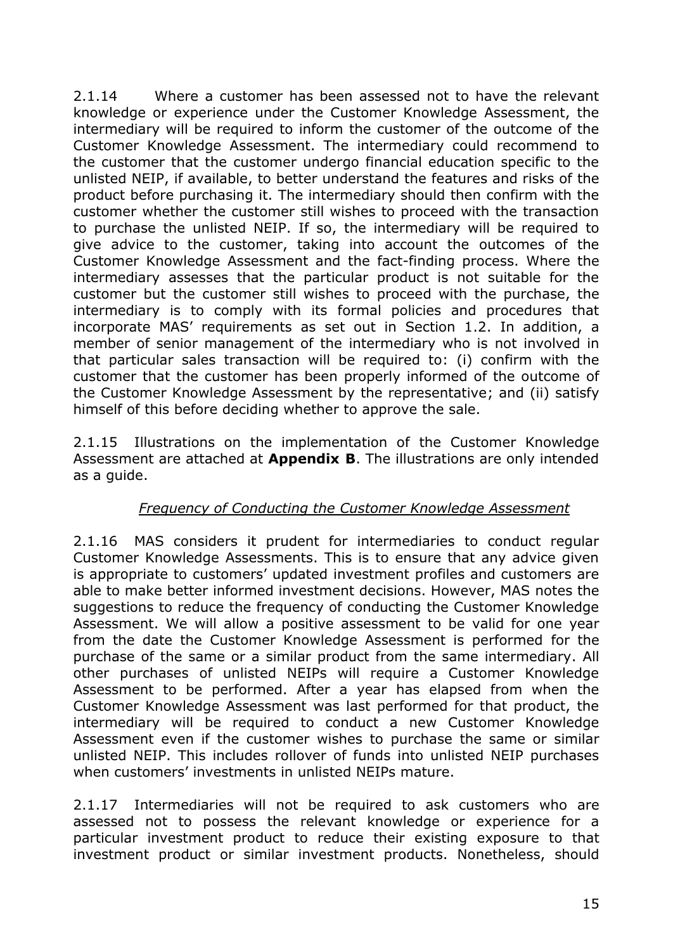2.1.14 Where a customer has been assessed not to have the relevant knowledge or experience under the Customer Knowledge Assessment, the intermediary will be required to inform the customer of the outcome of the Customer Knowledge Assessment. The intermediary could recommend to the customer that the customer undergo financial education specific to the unlisted NEIP, if available, to better understand the features and risks of the product before purchasing it. The intermediary should then confirm with the customer whether the customer still wishes to proceed with the transaction to purchase the unlisted NEIP. If so, the intermediary will be required to give advice to the customer, taking into account the outcomes of the Customer Knowledge Assessment and the fact-finding process. Where the intermediary assesses that the particular product is not suitable for the customer but the customer still wishes to proceed with the purchase, the intermediary is to comply with its formal policies and procedures that incorporate MAS' requirements as set out in Section 1.2. In addition, a member of senior management of the intermediary who is not involved in that particular sales transaction will be required to: (i) confirm with the customer that the customer has been properly informed of the outcome of the Customer Knowledge Assessment by the representative; and (ii) satisfy himself of this before deciding whether to approve the sale.

2.1.15 Illustrations on the implementation of the Customer Knowledge Assessment are attached at **Appendix B**. The illustrations are only intended as a guide.

## *Frequency of Conducting the Customer Knowledge Assessment*

2.1.16 MAS considers it prudent for intermediaries to conduct regular Customer Knowledge Assessments. This is to ensure that any advice given is appropriate to customers' updated investment profiles and customers are able to make better informed investment decisions. However, MAS notes the suggestions to reduce the frequency of conducting the Customer Knowledge Assessment. We will allow a positive assessment to be valid for one year from the date the Customer Knowledge Assessment is performed for the purchase of the same or a similar product from the same intermediary. All other purchases of unlisted NEIPs will require a Customer Knowledge Assessment to be performed. After a year has elapsed from when the Customer Knowledge Assessment was last performed for that product, the intermediary will be required to conduct a new Customer Knowledge Assessment even if the customer wishes to purchase the same or similar unlisted NEIP. This includes rollover of funds into unlisted NEIP purchases when customers' investments in unlisted NEIPs mature.

2.1.17 Intermediaries will not be required to ask customers who are assessed not to possess the relevant knowledge or experience for a particular investment product to reduce their existing exposure to that investment product or similar investment products. Nonetheless, should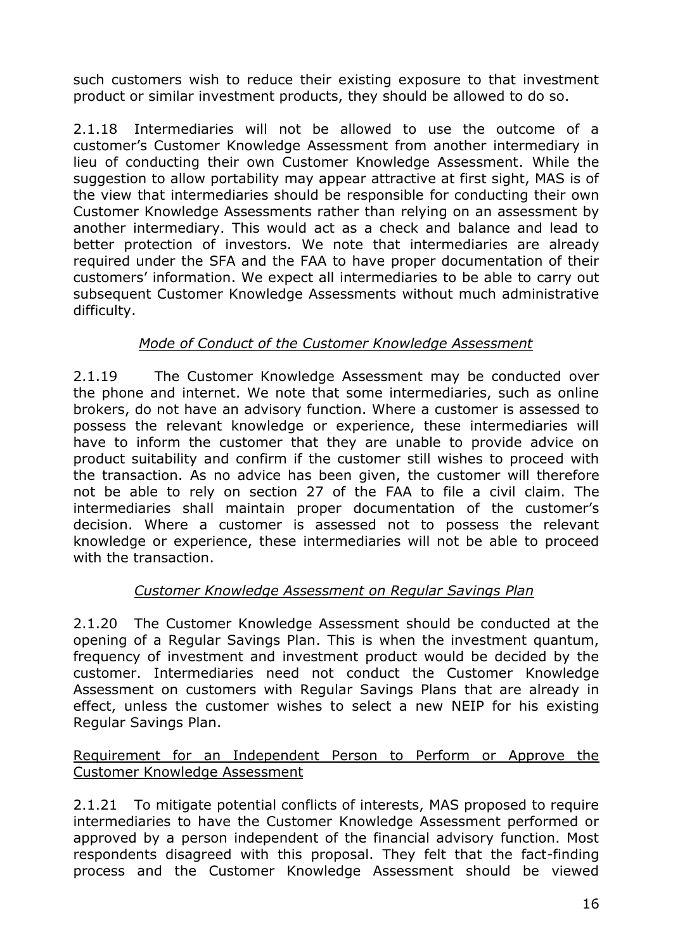such customers wish to reduce their existing exposure to that investment product or similar investment products, they should be allowed to do so.

2.1.18 Intermediaries will not be allowed to use the outcome of a customer"s Customer Knowledge Assessment from another intermediary in lieu of conducting their own Customer Knowledge Assessment. While the suggestion to allow portability may appear attractive at first sight, MAS is of the view that intermediaries should be responsible for conducting their own Customer Knowledge Assessments rather than relying on an assessment by another intermediary. This would act as a check and balance and lead to better protection of investors. We note that intermediaries are already required under the SFA and the FAA to have proper documentation of their customers' information. We expect all intermediaries to be able to carry out subsequent Customer Knowledge Assessments without much administrative difficulty.

### *Mode of Conduct of the Customer Knowledge Assessment*

2.1.19 The Customer Knowledge Assessment may be conducted over the phone and internet. We note that some intermediaries, such as online brokers, do not have an advisory function. Where a customer is assessed to possess the relevant knowledge or experience, these intermediaries will have to inform the customer that they are unable to provide advice on product suitability and confirm if the customer still wishes to proceed with the transaction. As no advice has been given, the customer will therefore not be able to rely on section 27 of the FAA to file a civil claim. The intermediaries shall maintain proper documentation of the customer"s decision. Where a customer is assessed not to possess the relevant knowledge or experience, these intermediaries will not be able to proceed with the transaction.

## *Customer Knowledge Assessment on Regular Savings Plan*

2.1.20 The Customer Knowledge Assessment should be conducted at the opening of a Regular Savings Plan. This is when the investment quantum, frequency of investment and investment product would be decided by the customer. Intermediaries need not conduct the Customer Knowledge Assessment on customers with Regular Savings Plans that are already in effect, unless the customer wishes to select a new NEIP for his existing Regular Savings Plan.

#### Requirement for an Independent Person to Perform or Approve the Customer Knowledge Assessment

2.1.21 To mitigate potential conflicts of interests, MAS proposed to require intermediaries to have the Customer Knowledge Assessment performed or approved by a person independent of the financial advisory function. Most respondents disagreed with this proposal. They felt that the fact-finding process and the Customer Knowledge Assessment should be viewed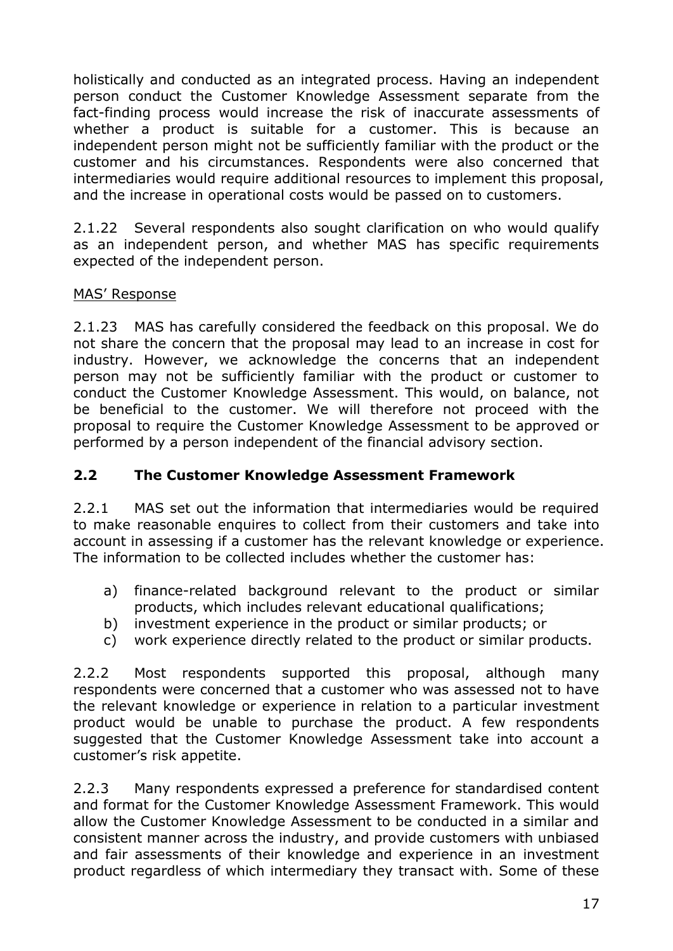holistically and conducted as an integrated process. Having an independent person conduct the Customer Knowledge Assessment separate from the fact-finding process would increase the risk of inaccurate assessments of whether a product is suitable for a customer. This is because an independent person might not be sufficiently familiar with the product or the customer and his circumstances. Respondents were also concerned that intermediaries would require additional resources to implement this proposal, and the increase in operational costs would be passed on to customers.

2.1.22 Several respondents also sought clarification on who would qualify as an independent person, and whether MAS has specific requirements expected of the independent person.

### MAS" Response

2.1.23 MAS has carefully considered the feedback on this proposal. We do not share the concern that the proposal may lead to an increase in cost for industry. However, we acknowledge the concerns that an independent person may not be sufficiently familiar with the product or customer to conduct the Customer Knowledge Assessment. This would, on balance, not be beneficial to the customer. We will therefore not proceed with the proposal to require the Customer Knowledge Assessment to be approved or performed by a person independent of the financial advisory section.

### **2.2 The Customer Knowledge Assessment Framework**

2.2.1 MAS set out the information that intermediaries would be required to make reasonable enquires to collect from their customers and take into account in assessing if a customer has the relevant knowledge or experience. The information to be collected includes whether the customer has:

- a) finance-related background relevant to the product or similar products, which includes relevant educational qualifications;
- b) investment experience in the product or similar products; or
- c) work experience directly related to the product or similar products.

2.2.2 Most respondents supported this proposal, although many respondents were concerned that a customer who was assessed not to have the relevant knowledge or experience in relation to a particular investment product would be unable to purchase the product. A few respondents suggested that the Customer Knowledge Assessment take into account a customer's risk appetite.

2.2.3 Many respondents expressed a preference for standardised content and format for the Customer Knowledge Assessment Framework. This would allow the Customer Knowledge Assessment to be conducted in a similar and consistent manner across the industry, and provide customers with unbiased and fair assessments of their knowledge and experience in an investment product regardless of which intermediary they transact with. Some of these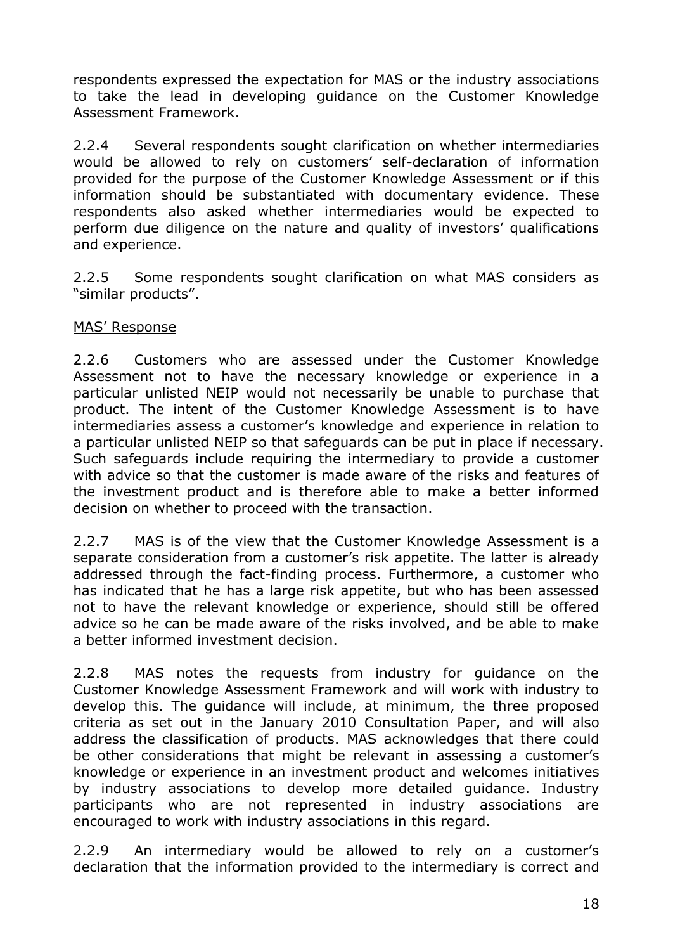respondents expressed the expectation for MAS or the industry associations to take the lead in developing guidance on the Customer Knowledge Assessment Framework.

2.2.4 Several respondents sought clarification on whether intermediaries would be allowed to rely on customers' self-declaration of information provided for the purpose of the Customer Knowledge Assessment or if this information should be substantiated with documentary evidence. These respondents also asked whether intermediaries would be expected to perform due diligence on the nature and quality of investors' qualifications and experience.

2.2.5 Some respondents sought clarification on what MAS considers as "similar products".

### MAS" Response

2.2.6 Customers who are assessed under the Customer Knowledge Assessment not to have the necessary knowledge or experience in a particular unlisted NEIP would not necessarily be unable to purchase that product. The intent of the Customer Knowledge Assessment is to have intermediaries assess a customer"s knowledge and experience in relation to a particular unlisted NEIP so that safeguards can be put in place if necessary. Such safeguards include requiring the intermediary to provide a customer with advice so that the customer is made aware of the risks and features of the investment product and is therefore able to make a better informed decision on whether to proceed with the transaction.

2.2.7 MAS is of the view that the Customer Knowledge Assessment is a separate consideration from a customer's risk appetite. The latter is already addressed through the fact-finding process. Furthermore, a customer who has indicated that he has a large risk appetite, but who has been assessed not to have the relevant knowledge or experience, should still be offered advice so he can be made aware of the risks involved, and be able to make a better informed investment decision.

2.2.8 MAS notes the requests from industry for guidance on the Customer Knowledge Assessment Framework and will work with industry to develop this. The guidance will include, at minimum, the three proposed criteria as set out in the January 2010 Consultation Paper, and will also address the classification of products. MAS acknowledges that there could be other considerations that might be relevant in assessing a customer"s knowledge or experience in an investment product and welcomes initiatives by industry associations to develop more detailed guidance. Industry participants who are not represented in industry associations are encouraged to work with industry associations in this regard.

2.2.9 An intermediary would be allowed to rely on a customer"s declaration that the information provided to the intermediary is correct and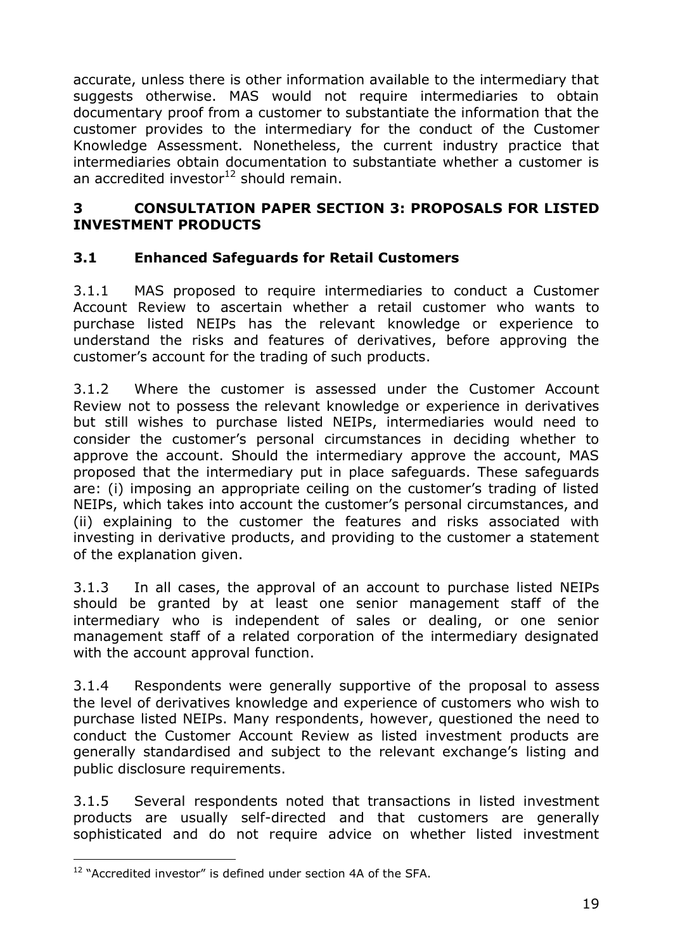accurate, unless there is other information available to the intermediary that suggests otherwise. MAS would not require intermediaries to obtain documentary proof from a customer to substantiate the information that the customer provides to the intermediary for the conduct of the Customer Knowledge Assessment. Nonetheless, the current industry practice that intermediaries obtain documentation to substantiate whether a customer is an accredited investor $12$  should remain.

#### **3 CONSULTATION PAPER SECTION 3: PROPOSALS FOR LISTED INVESTMENT PRODUCTS**

### **3.1 Enhanced Safeguards for Retail Customers**

3.1.1 MAS proposed to require intermediaries to conduct a Customer Account Review to ascertain whether a retail customer who wants to purchase listed NEIPs has the relevant knowledge or experience to understand the risks and features of derivatives, before approving the customer"s account for the trading of such products.

3.1.2 Where the customer is assessed under the Customer Account Review not to possess the relevant knowledge or experience in derivatives but still wishes to purchase listed NEIPs, intermediaries would need to consider the customer"s personal circumstances in deciding whether to approve the account. Should the intermediary approve the account, MAS proposed that the intermediary put in place safeguards. These safeguards are: (i) imposing an appropriate ceiling on the customer"s trading of listed NEIPs, which takes into account the customer"s personal circumstances, and (ii) explaining to the customer the features and risks associated with investing in derivative products, and providing to the customer a statement of the explanation given.

3.1.3 In all cases, the approval of an account to purchase listed NEIPs should be granted by at least one senior management staff of the intermediary who is independent of sales or dealing, or one senior management staff of a related corporation of the intermediary designated with the account approval function.

3.1.4 Respondents were generally supportive of the proposal to assess the level of derivatives knowledge and experience of customers who wish to purchase listed NEIPs. Many respondents, however, questioned the need to conduct the Customer Account Review as listed investment products are generally standardised and subject to the relevant exchange"s listing and public disclosure requirements.

3.1.5 Several respondents noted that transactions in listed investment products are usually self-directed and that customers are generally sophisticated and do not require advice on whether listed investment

 $\overline{a}$ <sup>12</sup> "Accredited investor" is defined under section 4A of the SFA.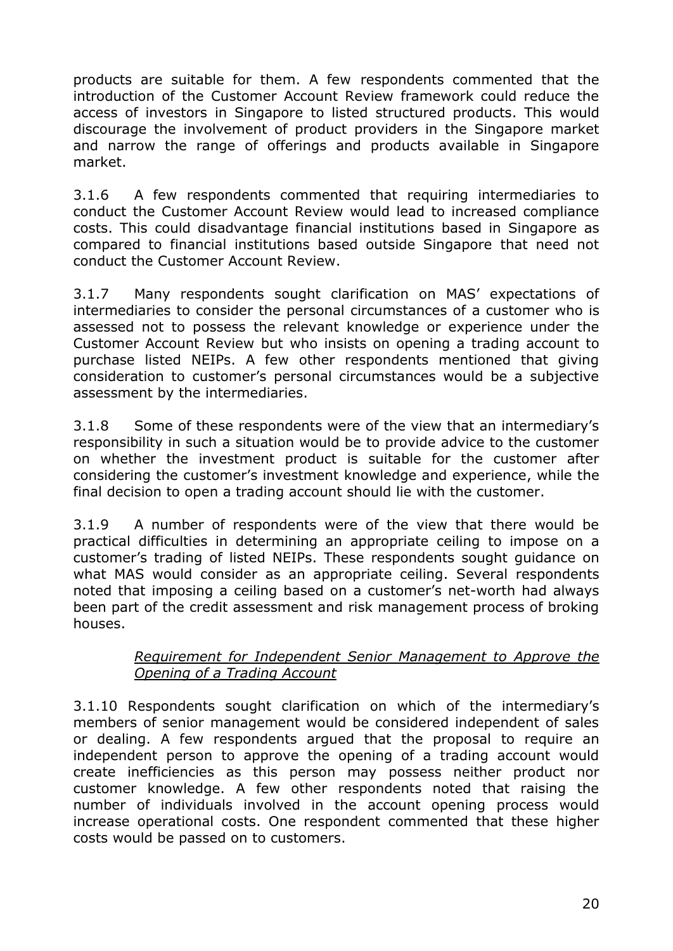products are suitable for them. A few respondents commented that the introduction of the Customer Account Review framework could reduce the access of investors in Singapore to listed structured products. This would discourage the involvement of product providers in the Singapore market and narrow the range of offerings and products available in Singapore market.

3.1.6 A few respondents commented that requiring intermediaries to conduct the Customer Account Review would lead to increased compliance costs. This could disadvantage financial institutions based in Singapore as compared to financial institutions based outside Singapore that need not conduct the Customer Account Review.

3.1.7 Many respondents sought clarification on MAS' expectations of intermediaries to consider the personal circumstances of a customer who is assessed not to possess the relevant knowledge or experience under the Customer Account Review but who insists on opening a trading account to purchase listed NEIPs. A few other respondents mentioned that giving consideration to customer"s personal circumstances would be a subjective assessment by the intermediaries.

3.1.8 Some of these respondents were of the view that an intermediary"s responsibility in such a situation would be to provide advice to the customer on whether the investment product is suitable for the customer after considering the customer"s investment knowledge and experience, while the final decision to open a trading account should lie with the customer.

3.1.9 A number of respondents were of the view that there would be practical difficulties in determining an appropriate ceiling to impose on a customer"s trading of listed NEIPs. These respondents sought guidance on what MAS would consider as an appropriate ceiling. Several respondents noted that imposing a ceiling based on a customer"s net-worth had always been part of the credit assessment and risk management process of broking houses.

#### *Requirement for Independent Senior Management to Approve the Opening of a Trading Account*

3.1.10 Respondents sought clarification on which of the intermediary"s members of senior management would be considered independent of sales or dealing. A few respondents argued that the proposal to require an independent person to approve the opening of a trading account would create inefficiencies as this person may possess neither product nor customer knowledge. A few other respondents noted that raising the number of individuals involved in the account opening process would increase operational costs. One respondent commented that these higher costs would be passed on to customers.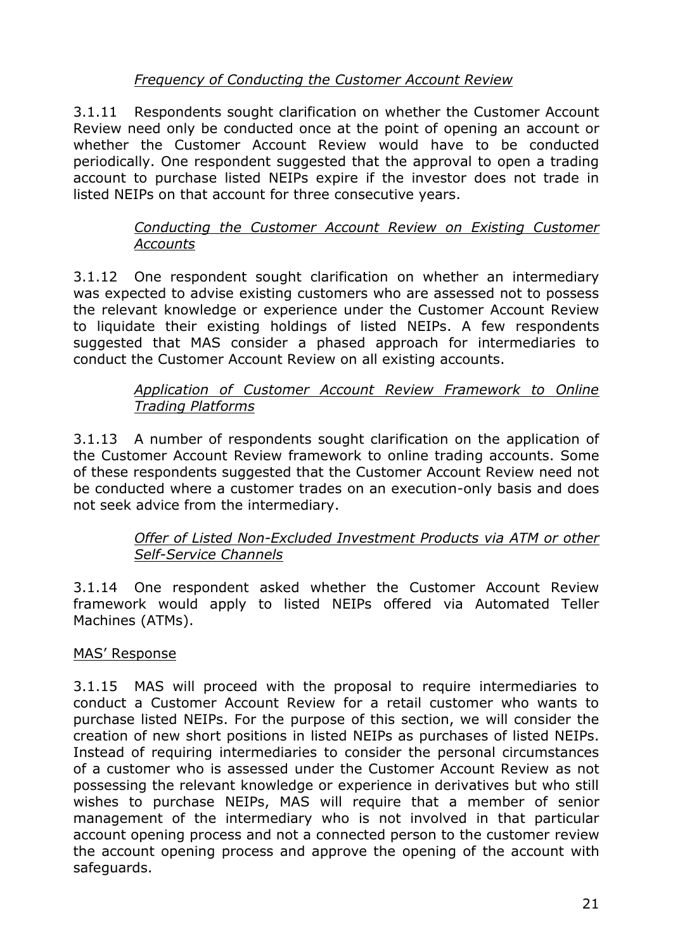### *Frequency of Conducting the Customer Account Review*

3.1.11 Respondents sought clarification on whether the Customer Account Review need only be conducted once at the point of opening an account or whether the Customer Account Review would have to be conducted periodically. One respondent suggested that the approval to open a trading account to purchase listed NEIPs expire if the investor does not trade in listed NEIPs on that account for three consecutive years.

### *Conducting the Customer Account Review on Existing Customer Accounts*

3.1.12 One respondent sought clarification on whether an intermediary was expected to advise existing customers who are assessed not to possess the relevant knowledge or experience under the Customer Account Review to liquidate their existing holdings of listed NEIPs. A few respondents suggested that MAS consider a phased approach for intermediaries to conduct the Customer Account Review on all existing accounts.

### *Application of Customer Account Review Framework to Online Trading Platforms*

3.1.13 A number of respondents sought clarification on the application of the Customer Account Review framework to online trading accounts. Some of these respondents suggested that the Customer Account Review need not be conducted where a customer trades on an execution-only basis and does not seek advice from the intermediary.

### *Offer of Listed Non-Excluded Investment Products via ATM or other Self-Service Channels*

3.1.14 One respondent asked whether the Customer Account Review framework would apply to listed NEIPs offered via Automated Teller Machines (ATMs).

### MAS" Response

3.1.15 MAS will proceed with the proposal to require intermediaries to conduct a Customer Account Review for a retail customer who wants to purchase listed NEIPs. For the purpose of this section, we will consider the creation of new short positions in listed NEIPs as purchases of listed NEIPs. Instead of requiring intermediaries to consider the personal circumstances of a customer who is assessed under the Customer Account Review as not possessing the relevant knowledge or experience in derivatives but who still wishes to purchase NEIPs, MAS will require that a member of senior management of the intermediary who is not involved in that particular account opening process and not a connected person to the customer review the account opening process and approve the opening of the account with safeguards.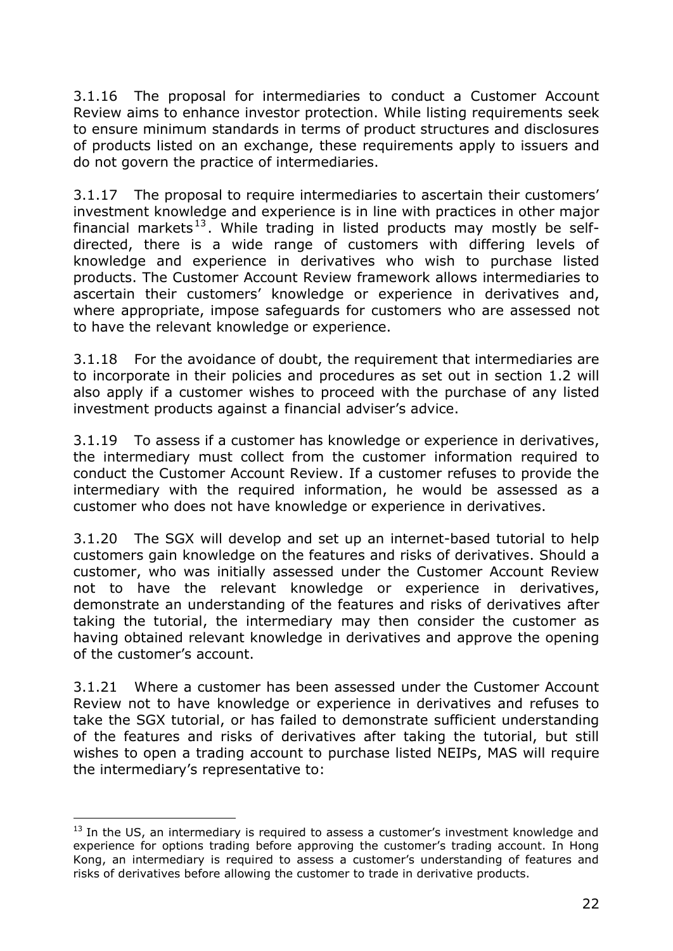3.1.16 The proposal for intermediaries to conduct a Customer Account Review aims to enhance investor protection. While listing requirements seek to ensure minimum standards in terms of product structures and disclosures of products listed on an exchange, these requirements apply to issuers and do not govern the practice of intermediaries.

3.1.17 The proposal to require intermediaries to ascertain their customers" investment knowledge and experience is in line with practices in other major financial markets<sup>13</sup>. While trading in listed products may mostly be selfdirected, there is a wide range of customers with differing levels of knowledge and experience in derivatives who wish to purchase listed products. The Customer Account Review framework allows intermediaries to ascertain their customers' knowledge or experience in derivatives and, where appropriate, impose safeguards for customers who are assessed not to have the relevant knowledge or experience.

3.1.18 For the avoidance of doubt, the requirement that intermediaries are to incorporate in their policies and procedures as set out in section 1.2 will also apply if a customer wishes to proceed with the purchase of any listed investment products against a financial adviser's advice.

3.1.19 To assess if a customer has knowledge or experience in derivatives, the intermediary must collect from the customer information required to conduct the Customer Account Review. If a customer refuses to provide the intermediary with the required information, he would be assessed as a customer who does not have knowledge or experience in derivatives.

3.1.20 The SGX will develop and set up an internet-based tutorial to help customers gain knowledge on the features and risks of derivatives. Should a customer, who was initially assessed under the Customer Account Review not to have the relevant knowledge or experience in derivatives, demonstrate an understanding of the features and risks of derivatives after taking the tutorial, the intermediary may then consider the customer as having obtained relevant knowledge in derivatives and approve the opening of the customer"s account.

3.1.21 Where a customer has been assessed under the Customer Account Review not to have knowledge or experience in derivatives and refuses to take the SGX tutorial, or has failed to demonstrate sufficient understanding of the features and risks of derivatives after taking the tutorial, but still wishes to open a trading account to purchase listed NEIPs, MAS will require the intermediary"s representative to:

 $\overline{a}$ 

 $13$  In the US, an intermediary is required to assess a customer's investment knowledge and experience for options trading before approving the customer's trading account. In Hong Kong, an intermediary is required to assess a customer"s understanding of features and risks of derivatives before allowing the customer to trade in derivative products.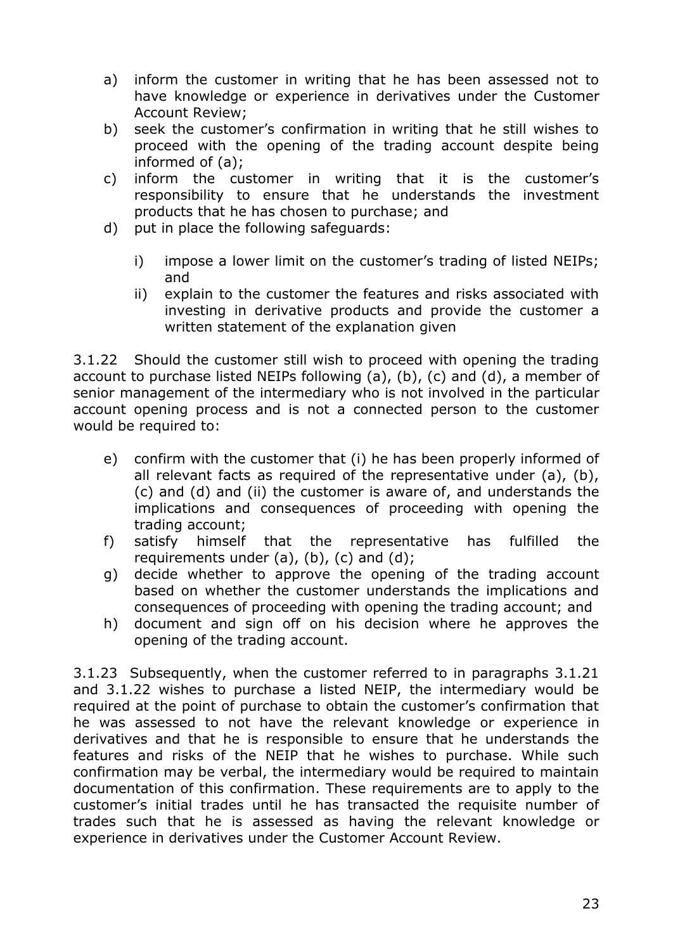- a) inform the customer in writing that he has been assessed not to have knowledge or experience in derivatives under the Customer Account Review;
- b) seek the customer"s confirmation in writing that he still wishes to proceed with the opening of the trading account despite being informed of (a);
- c) inform the customer in writing that it is the customer"s responsibility to ensure that he understands the investment products that he has chosen to purchase; and
- d) put in place the following safeguards:
	- i) impose a lower limit on the customer's trading of listed NEIPs; and
	- ii) explain to the customer the features and risks associated with investing in derivative products and provide the customer a written statement of the explanation given

3.1.22 Should the customer still wish to proceed with opening the trading account to purchase listed NEIPs following (a), (b), (c) and (d), a member of senior management of the intermediary who is not involved in the particular account opening process and is not a connected person to the customer would be required to:

- e) confirm with the customer that (i) he has been properly informed of all relevant facts as required of the representative under (a), (b), (c) and (d) and (ii) the customer is aware of, and understands the implications and consequences of proceeding with opening the trading account;
- f) satisfy himself that the representative has fulfilled the requirements under  $(a)$ ,  $(b)$ ,  $(c)$  and  $(d)$ ;
- g) decide whether to approve the opening of the trading account based on whether the customer understands the implications and consequences of proceeding with opening the trading account; and
- h) document and sign off on his decision where he approves the opening of the trading account.

3.1.23 Subsequently, when the customer referred to in paragraphs 3.1.21 and 3.1.22 wishes to purchase a listed NEIP, the intermediary would be required at the point of purchase to obtain the customer's confirmation that he was assessed to not have the relevant knowledge or experience in derivatives and that he is responsible to ensure that he understands the features and risks of the NEIP that he wishes to purchase. While such confirmation may be verbal, the intermediary would be required to maintain documentation of this confirmation. These requirements are to apply to the customer"s initial trades until he has transacted the requisite number of trades such that he is assessed as having the relevant knowledge or experience in derivatives under the Customer Account Review.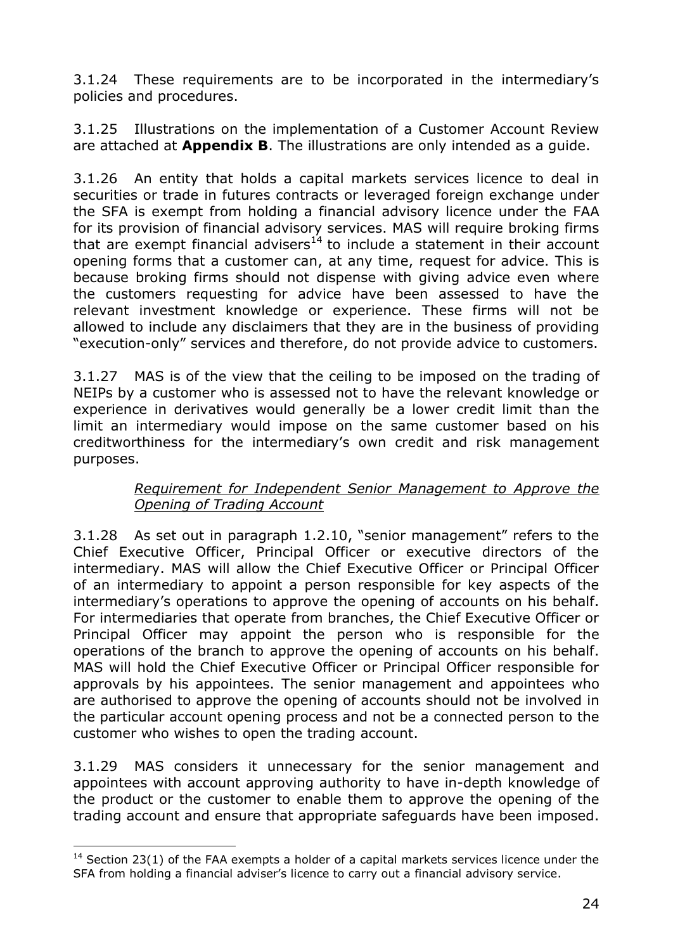3.1.24 These requirements are to be incorporated in the intermediary"s policies and procedures.

3.1.25 Illustrations on the implementation of a Customer Account Review are attached at **Appendix B**. The illustrations are only intended as a guide.

3.1.26 An entity that holds a capital markets services licence to deal in securities or trade in futures contracts or leveraged foreign exchange under the SFA is exempt from holding a financial advisory licence under the FAA for its provision of financial advisory services. MAS will require broking firms that are exempt financial advisers<sup>14</sup> to include a statement in their account opening forms that a customer can, at any time, request for advice. This is because broking firms should not dispense with giving advice even where the customers requesting for advice have been assessed to have the relevant investment knowledge or experience. These firms will not be allowed to include any disclaimers that they are in the business of providing "execution-only" services and therefore, do not provide advice to customers.

3.1.27 MAS is of the view that the ceiling to be imposed on the trading of NEIPs by a customer who is assessed not to have the relevant knowledge or experience in derivatives would generally be a lower credit limit than the limit an intermediary would impose on the same customer based on his creditworthiness for the intermediary"s own credit and risk management purposes.

#### *Requirement for Independent Senior Management to Approve the Opening of Trading Account*

3.1.28 As set out in paragraph 1.2.10, "senior management" refers to the Chief Executive Officer, Principal Officer or executive directors of the intermediary. MAS will allow the Chief Executive Officer or Principal Officer of an intermediary to appoint a person responsible for key aspects of the intermediary's operations to approve the opening of accounts on his behalf. For intermediaries that operate from branches, the Chief Executive Officer or Principal Officer may appoint the person who is responsible for the operations of the branch to approve the opening of accounts on his behalf. MAS will hold the Chief Executive Officer or Principal Officer responsible for approvals by his appointees. The senior management and appointees who are authorised to approve the opening of accounts should not be involved in the particular account opening process and not be a connected person to the customer who wishes to open the trading account.

3.1.29 MAS considers it unnecessary for the senior management and appointees with account approving authority to have in-depth knowledge of the product or the customer to enable them to approve the opening of the trading account and ensure that appropriate safeguards have been imposed.

 $\overline{a}$ 

 $14$  Section 23(1) of the FAA exempts a holder of a capital markets services licence under the SFA from holding a financial adviser's licence to carry out a financial advisory service.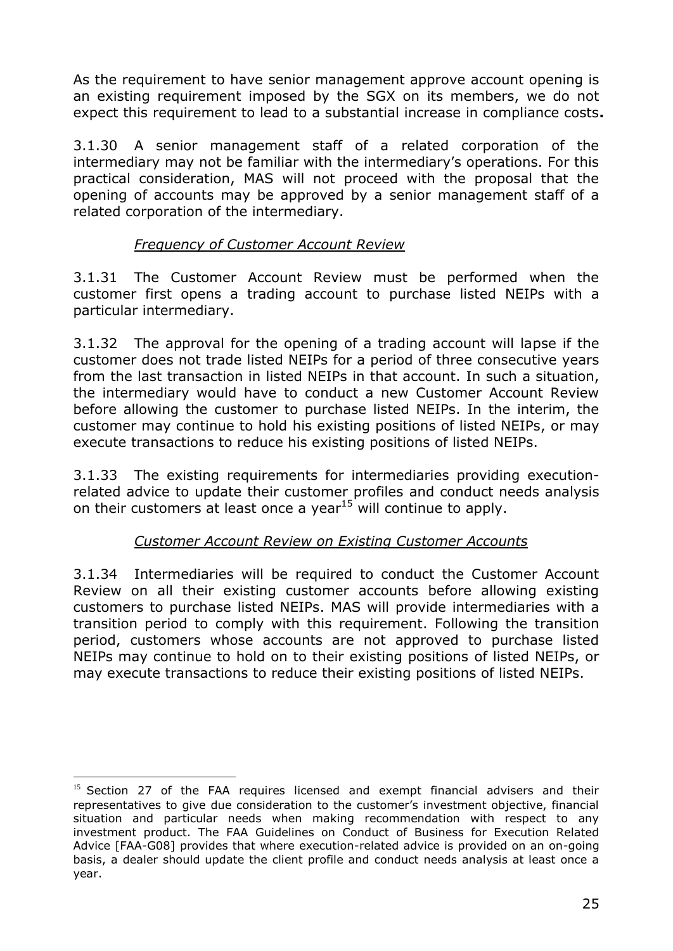As the requirement to have senior management approve account opening is an existing requirement imposed by the SGX on its members, we do not expect this requirement to lead to a substantial increase in compliance costs**.** 

3.1.30 A senior management staff of a related corporation of the intermediary may not be familiar with the intermediary's operations. For this practical consideration, MAS will not proceed with the proposal that the opening of accounts may be approved by a senior management staff of a related corporation of the intermediary.

### *Frequency of Customer Account Review*

3.1.31 The Customer Account Review must be performed when the customer first opens a trading account to purchase listed NEIPs with a particular intermediary.

3.1.32 The approval for the opening of a trading account will lapse if the customer does not trade listed NEIPs for a period of three consecutive years from the last transaction in listed NEIPs in that account. In such a situation, the intermediary would have to conduct a new Customer Account Review before allowing the customer to purchase listed NEIPs. In the interim, the customer may continue to hold his existing positions of listed NEIPs, or may execute transactions to reduce his existing positions of listed NEIPs.

3.1.33 The existing requirements for intermediaries providing executionrelated advice to update their customer profiles and conduct needs analysis on their customers at least once a year<sup>15</sup> will continue to apply.

## *Customer Account Review on Existing Customer Accounts*

3.1.34 Intermediaries will be required to conduct the Customer Account Review on all their existing customer accounts before allowing existing customers to purchase listed NEIPs. MAS will provide intermediaries with a transition period to comply with this requirement. Following the transition period, customers whose accounts are not approved to purchase listed NEIPs may continue to hold on to their existing positions of listed NEIPs, or may execute transactions to reduce their existing positions of listed NEIPs.

 $\overline{a}$ 

<sup>&</sup>lt;sup>15</sup> Section 27 of the FAA requires licensed and exempt financial advisers and their representatives to give due consideration to the customer"s investment objective, financial situation and particular needs when making recommendation with respect to any investment product. The FAA Guidelines on Conduct of Business for Execution Related Advice [FAA-G08] provides that where execution-related advice is provided on an on-going basis, a dealer should update the client profile and conduct needs analysis at least once a year.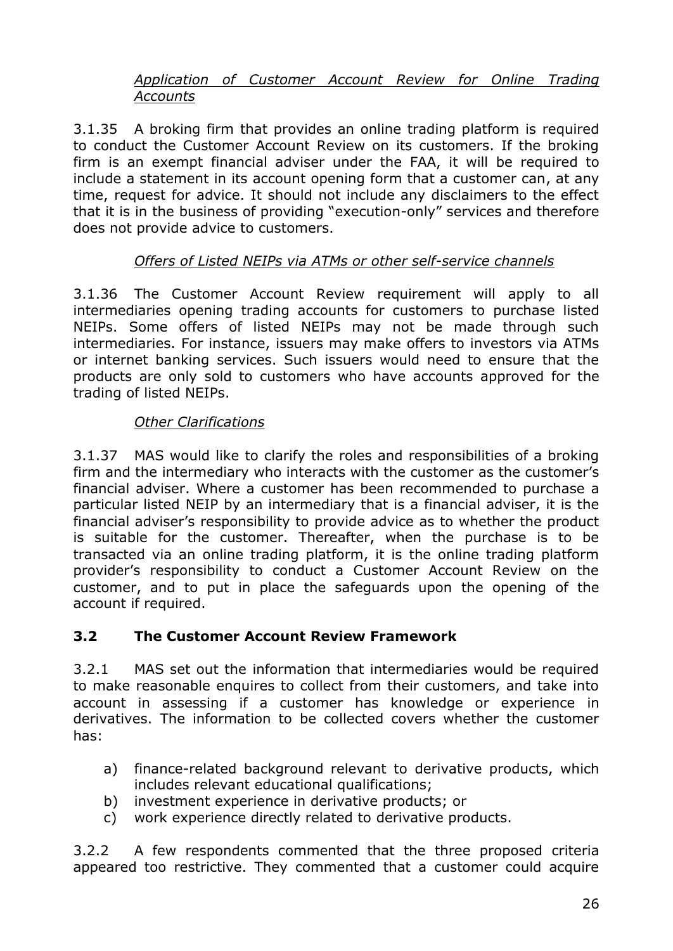### *Application of Customer Account Review for Online Trading Accounts*

3.1.35 A broking firm that provides an online trading platform is required to conduct the Customer Account Review on its customers. If the broking firm is an exempt financial adviser under the FAA, it will be required to include a statement in its account opening form that a customer can, at any time, request for advice. It should not include any disclaimers to the effect that it is in the business of providing "execution-only" services and therefore does not provide advice to customers.

### *Offers of Listed NEIPs via ATMs or other self-service channels*

3.1.36 The Customer Account Review requirement will apply to all intermediaries opening trading accounts for customers to purchase listed NEIPs. Some offers of listed NEIPs may not be made through such intermediaries. For instance, issuers may make offers to investors via ATMs or internet banking services. Such issuers would need to ensure that the products are only sold to customers who have accounts approved for the trading of listed NEIPs.

#### *Other Clarifications*

3.1.37 MAS would like to clarify the roles and responsibilities of a broking firm and the intermediary who interacts with the customer as the customer"s financial adviser. Where a customer has been recommended to purchase a particular listed NEIP by an intermediary that is a financial adviser, it is the financial adviser's responsibility to provide advice as to whether the product is suitable for the customer. Thereafter, when the purchase is to be transacted via an online trading platform, it is the online trading platform provider"s responsibility to conduct a Customer Account Review on the customer, and to put in place the safeguards upon the opening of the account if required.

### **3.2 The Customer Account Review Framework**

3.2.1 MAS set out the information that intermediaries would be required to make reasonable enquires to collect from their customers, and take into account in assessing if a customer has knowledge or experience in derivatives. The information to be collected covers whether the customer has:

- a) finance-related background relevant to derivative products, which includes relevant educational qualifications;
- b) investment experience in derivative products; or
- c) work experience directly related to derivative products.

3.2.2 A few respondents commented that the three proposed criteria appeared too restrictive. They commented that a customer could acquire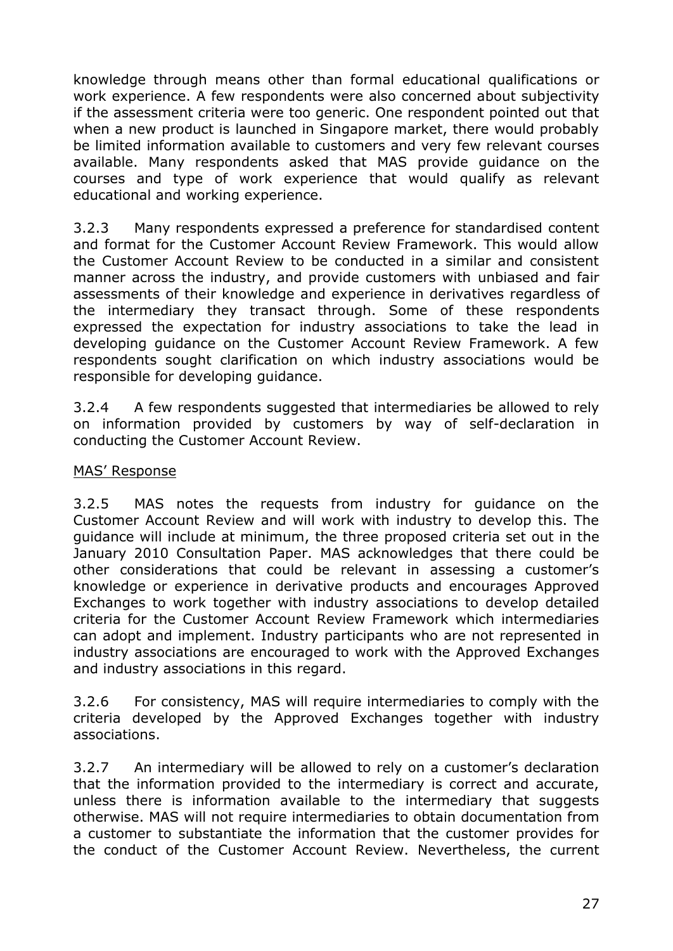knowledge through means other than formal educational qualifications or work experience. A few respondents were also concerned about subjectivity if the assessment criteria were too generic. One respondent pointed out that when a new product is launched in Singapore market, there would probably be limited information available to customers and very few relevant courses available. Many respondents asked that MAS provide guidance on the courses and type of work experience that would qualify as relevant educational and working experience.

3.2.3 Many respondents expressed a preference for standardised content and format for the Customer Account Review Framework. This would allow the Customer Account Review to be conducted in a similar and consistent manner across the industry, and provide customers with unbiased and fair assessments of their knowledge and experience in derivatives regardless of the intermediary they transact through. Some of these respondents expressed the expectation for industry associations to take the lead in developing guidance on the Customer Account Review Framework. A few respondents sought clarification on which industry associations would be responsible for developing guidance.

3.2.4 A few respondents suggested that intermediaries be allowed to rely on information provided by customers by way of self-declaration in conducting the Customer Account Review.

#### MAS" Response

3.2.5 MAS notes the requests from industry for guidance on the Customer Account Review and will work with industry to develop this. The guidance will include at minimum, the three proposed criteria set out in the January 2010 Consultation Paper. MAS acknowledges that there could be other considerations that could be relevant in assessing a customer"s knowledge or experience in derivative products and encourages Approved Exchanges to work together with industry associations to develop detailed criteria for the Customer Account Review Framework which intermediaries can adopt and implement. Industry participants who are not represented in industry associations are encouraged to work with the Approved Exchanges and industry associations in this regard.

3.2.6 For consistency, MAS will require intermediaries to comply with the criteria developed by the Approved Exchanges together with industry associations.

3.2.7 An intermediary will be allowed to rely on a customer"s declaration that the information provided to the intermediary is correct and accurate, unless there is information available to the intermediary that suggests otherwise. MAS will not require intermediaries to obtain documentation from a customer to substantiate the information that the customer provides for the conduct of the Customer Account Review. Nevertheless, the current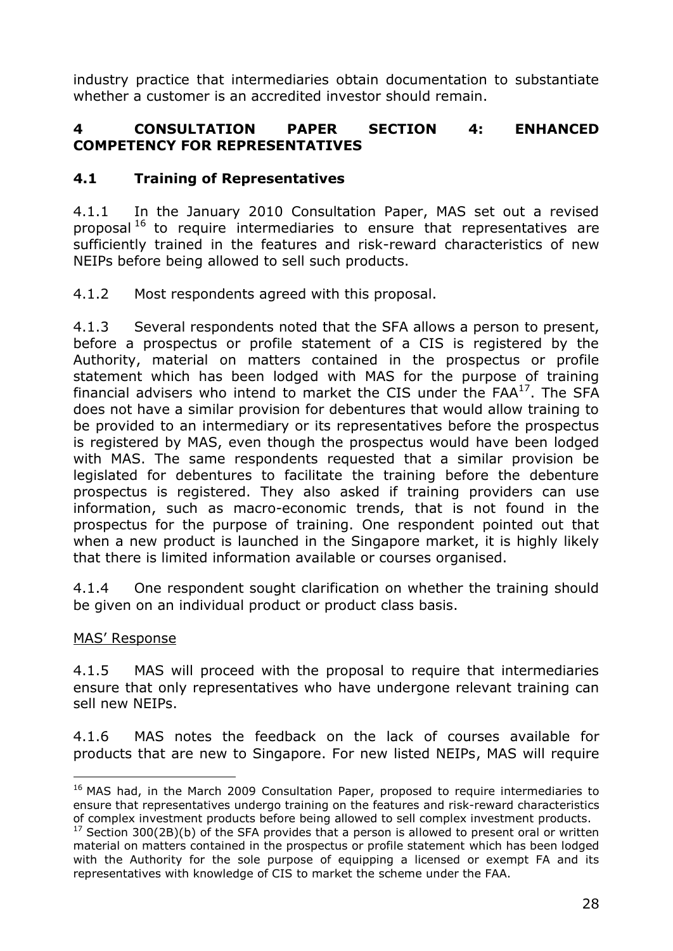industry practice that intermediaries obtain documentation to substantiate whether a customer is an accredited investor should remain.

### **4 CONSULTATION PAPER SECTION 4: ENHANCED COMPETENCY FOR REPRESENTATIVES**

### **4.1 Training of Representatives**

4.1.1 In the January 2010 Consultation Paper, MAS set out a revised proposal<sup>16</sup> to require intermediaries to ensure that representatives are sufficiently trained in the features and risk-reward characteristics of new NEIPs before being allowed to sell such products.

4.1.2 Most respondents agreed with this proposal.

4.1.3 Several respondents noted that the SFA allows a person to present, before a prospectus or profile statement of a CIS is registered by the Authority, material on matters contained in the prospectus or profile statement which has been lodged with MAS for the purpose of training financial advisers who intend to market the CIS under the  $FAA^{17}$ . The SFA does not have a similar provision for debentures that would allow training to be provided to an intermediary or its representatives before the prospectus is registered by MAS, even though the prospectus would have been lodged with MAS. The same respondents requested that a similar provision be legislated for debentures to facilitate the training before the debenture prospectus is registered. They also asked if training providers can use information, such as macro-economic trends, that is not found in the prospectus for the purpose of training. One respondent pointed out that when a new product is launched in the Singapore market, it is highly likely that there is limited information available or courses organised.

4.1.4 One respondent sought clarification on whether the training should be given on an individual product or product class basis.

#### MAS" Response

4.1.5 MAS will proceed with the proposal to require that intermediaries ensure that only representatives who have undergone relevant training can sell new NEIPs.

4.1.6 MAS notes the feedback on the lack of courses available for products that are new to Singapore. For new listed NEIPs, MAS will require

 $\overline{a}$ <sup>16</sup> MAS had, in the March 2009 Consultation Paper, proposed to require intermediaries to ensure that representatives undergo training on the features and risk-reward characteristics of complex investment products before being allowed to sell complex investment products.

 $17$  Section 300(2B)(b) of the SFA provides that a person is allowed to present oral or written material on matters contained in the prospectus or profile statement which has been lodged with the Authority for the sole purpose of equipping a licensed or exempt FA and its representatives with knowledge of CIS to market the scheme under the FAA.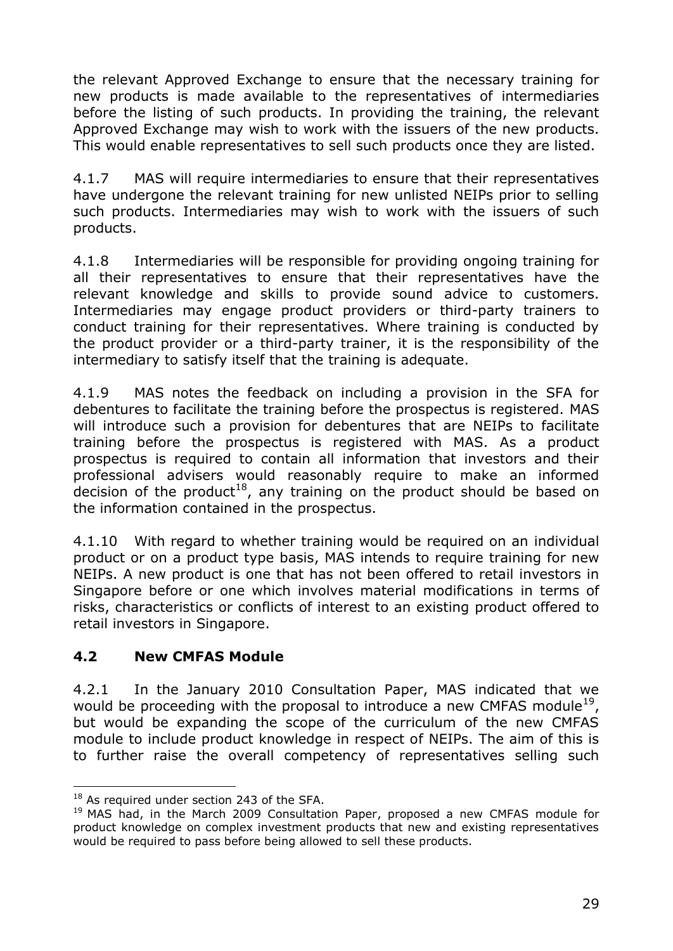the relevant Approved Exchange to ensure that the necessary training for new products is made available to the representatives of intermediaries before the listing of such products. In providing the training, the relevant Approved Exchange may wish to work with the issuers of the new products. This would enable representatives to sell such products once they are listed.

4.1.7 MAS will require intermediaries to ensure that their representatives have undergone the relevant training for new unlisted NEIPs prior to selling such products. Intermediaries may wish to work with the issuers of such products.

4.1.8 Intermediaries will be responsible for providing ongoing training for all their representatives to ensure that their representatives have the relevant knowledge and skills to provide sound advice to customers. Intermediaries may engage product providers or third-party trainers to conduct training for their representatives. Where training is conducted by the product provider or a third-party trainer, it is the responsibility of the intermediary to satisfy itself that the training is adequate.

4.1.9 MAS notes the feedback on including a provision in the SFA for debentures to facilitate the training before the prospectus is registered. MAS will introduce such a provision for debentures that are NEIPs to facilitate training before the prospectus is registered with MAS. As a product prospectus is required to contain all information that investors and their professional advisers would reasonably require to make an informed decision of the product<sup>18</sup>, any training on the product should be based on the information contained in the prospectus.

4.1.10 With regard to whether training would be required on an individual product or on a product type basis, MAS intends to require training for new NEIPs. A new product is one that has not been offered to retail investors in Singapore before or one which involves material modifications in terms of risks, characteristics or conflicts of interest to an existing product offered to retail investors in Singapore.

## **4.2 New CMFAS Module**

4.2.1 In the January 2010 Consultation Paper, MAS indicated that we would be proceeding with the proposal to introduce a new CMFAS module<sup>19</sup>, but would be expanding the scope of the curriculum of the new CMFAS module to include product knowledge in respect of NEIPs. The aim of this is to further raise the overall competency of representatives selling such

 $\overline{a}$ 

<sup>&</sup>lt;sup>18</sup> As required under section 243 of the SFA.

<sup>&</sup>lt;sup>19</sup> MAS had, in the March 2009 Consultation Paper, proposed a new CMFAS module for product knowledge on complex investment products that new and existing representatives would be required to pass before being allowed to sell these products.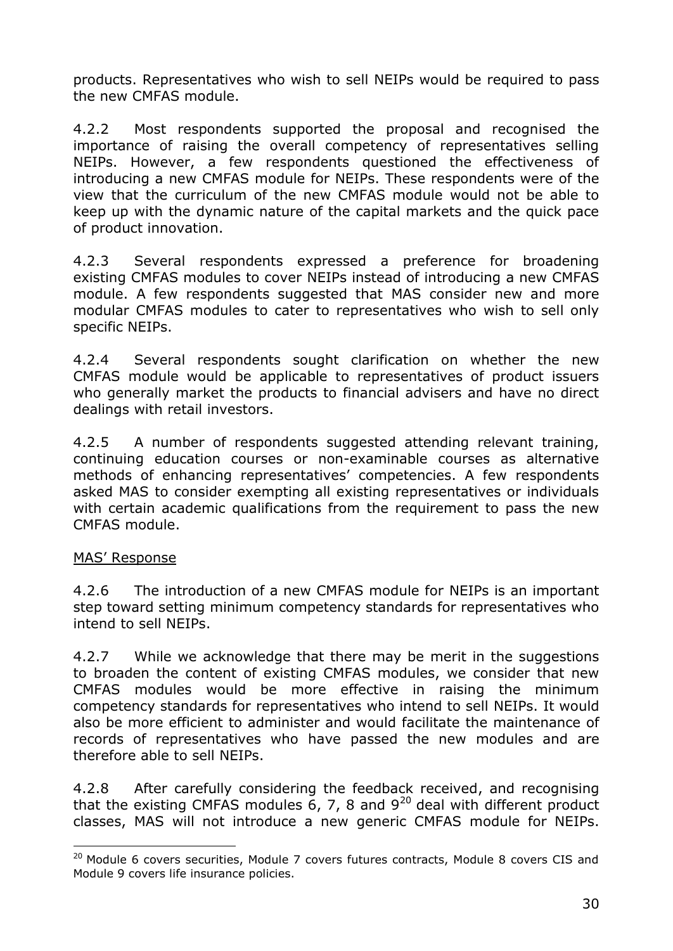products. Representatives who wish to sell NEIPs would be required to pass the new CMFAS module.

4.2.2 Most respondents supported the proposal and recognised the importance of raising the overall competency of representatives selling NEIPs. However, a few respondents questioned the effectiveness of introducing a new CMFAS module for NEIPs. These respondents were of the view that the curriculum of the new CMFAS module would not be able to keep up with the dynamic nature of the capital markets and the quick pace of product innovation.

4.2.3 Several respondents expressed a preference for broadening existing CMFAS modules to cover NEIPs instead of introducing a new CMFAS module. A few respondents suggested that MAS consider new and more modular CMFAS modules to cater to representatives who wish to sell only specific NEIPs.

4.2.4 Several respondents sought clarification on whether the new CMFAS module would be applicable to representatives of product issuers who generally market the products to financial advisers and have no direct dealings with retail investors.

4.2.5 A number of respondents suggested attending relevant training, continuing education courses or non-examinable courses as alternative methods of enhancing representatives' competencies. A few respondents asked MAS to consider exempting all existing representatives or individuals with certain academic qualifications from the requirement to pass the new CMFAS module.

#### MAS" Response

 $\overline{a}$ 

4.2.6 The introduction of a new CMFAS module for NEIPs is an important step toward setting minimum competency standards for representatives who intend to sell NEIPs.

4.2.7 While we acknowledge that there may be merit in the suggestions to broaden the content of existing CMFAS modules, we consider that new CMFAS modules would be more effective in raising the minimum competency standards for representatives who intend to sell NEIPs. It would also be more efficient to administer and would facilitate the maintenance of records of representatives who have passed the new modules and are therefore able to sell NEIPs.

4.2.8 After carefully considering the feedback received, and recognising that the existing CMFAS modules  $6, 7, 8$  and  $9^{20}$  deal with different product classes, MAS will not introduce a new generic CMFAS module for NEIPs.

<sup>&</sup>lt;sup>20</sup> Module 6 covers securities, Module 7 covers futures contracts, Module 8 covers CIS and Module 9 covers life insurance policies.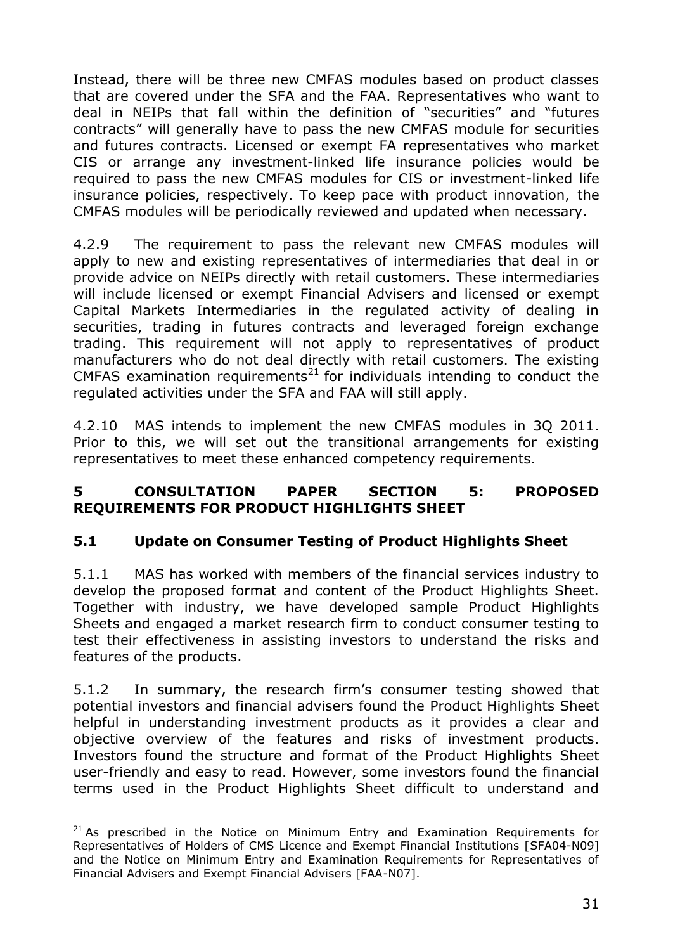Instead, there will be three new CMFAS modules based on product classes that are covered under the SFA and the FAA. Representatives who want to deal in NEIPs that fall within the definition of "securities" and "futures contracts" will generally have to pass the new CMFAS module for securities and futures contracts. Licensed or exempt FA representatives who market CIS or arrange any investment-linked life insurance policies would be required to pass the new CMFAS modules for CIS or investment-linked life insurance policies, respectively. To keep pace with product innovation, the CMFAS modules will be periodically reviewed and updated when necessary.

4.2.9 The requirement to pass the relevant new CMFAS modules will apply to new and existing representatives of intermediaries that deal in or provide advice on NEIPs directly with retail customers. These intermediaries will include licensed or exempt Financial Advisers and licensed or exempt Capital Markets Intermediaries in the regulated activity of dealing in securities, trading in futures contracts and leveraged foreign exchange trading. This requirement will not apply to representatives of product manufacturers who do not deal directly with retail customers. The existing CMFAS examination requirements<sup>21</sup> for individuals intending to conduct the regulated activities under the SFA and FAA will still apply.

4.2.10 MAS intends to implement the new CMFAS modules in 3Q 2011. Prior to this, we will set out the transitional arrangements for existing representatives to meet these enhanced competency requirements.

### **5 CONSULTATION PAPER SECTION 5: PROPOSED REQUIREMENTS FOR PRODUCT HIGHLIGHTS SHEET**

## **5.1 Update on Consumer Testing of Product Highlights Sheet**

5.1.1 MAS has worked with members of the financial services industry to develop the proposed format and content of the Product Highlights Sheet. Together with industry, we have developed sample Product Highlights Sheets and engaged a market research firm to conduct consumer testing to test their effectiveness in assisting investors to understand the risks and features of the products.

5.1.2 In summary, the research firm"s consumer testing showed that potential investors and financial advisers found the Product Highlights Sheet helpful in understanding investment products as it provides a clear and objective overview of the features and risks of investment products. Investors found the structure and format of the Product Highlights Sheet user-friendly and easy to read. However, some investors found the financial terms used in the Product Highlights Sheet difficult to understand and

 $\overline{a}$ 

 $21$  As prescribed in the Notice on Minimum Entry and Examination Requirements for Representatives of Holders of CMS Licence and Exempt Financial Institutions [SFA04-N09] and the Notice on Minimum Entry and Examination Requirements for Representatives of Financial Advisers and Exempt Financial Advisers [FAA-N07].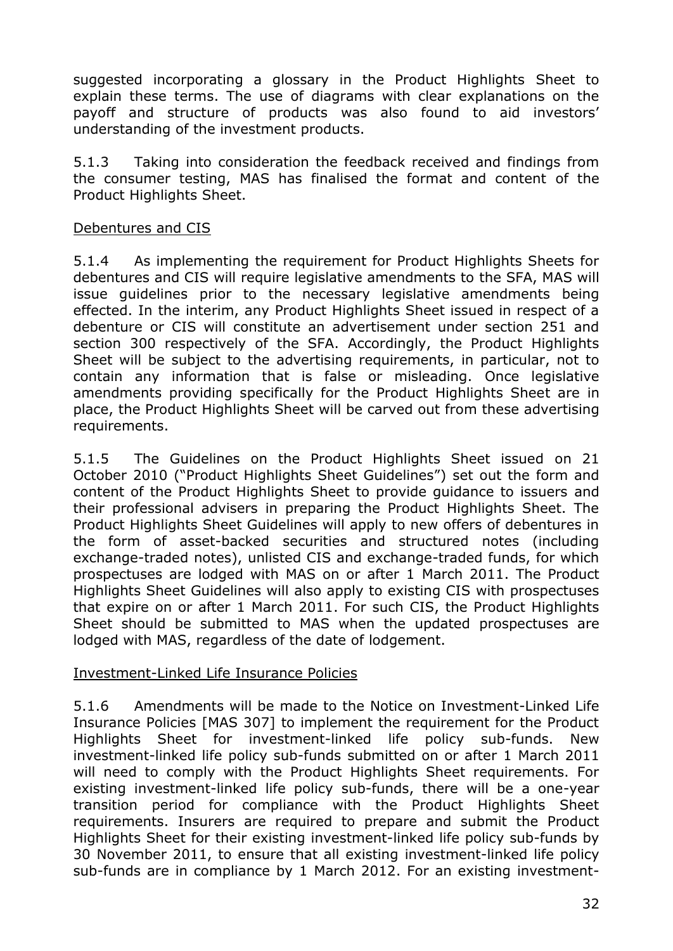suggested incorporating a glossary in the Product Highlights Sheet to explain these terms. The use of diagrams with clear explanations on the payoff and structure of products was also found to aid investors" understanding of the investment products.

5.1.3 Taking into consideration the feedback received and findings from the consumer testing, MAS has finalised the format and content of the Product Highlights Sheet.

#### Debentures and CIS

5.1.4 As implementing the requirement for Product Highlights Sheets for debentures and CIS will require legislative amendments to the SFA, MAS will issue guidelines prior to the necessary legislative amendments being effected. In the interim, any Product Highlights Sheet issued in respect of a debenture or CIS will constitute an advertisement under section 251 and section 300 respectively of the SFA. Accordingly, the Product Highlights Sheet will be subject to the advertising requirements, in particular, not to contain any information that is false or misleading. Once legislative amendments providing specifically for the Product Highlights Sheet are in place, the Product Highlights Sheet will be carved out from these advertising requirements.

5.1.5 The Guidelines on the Product Highlights Sheet issued on 21 October 2010 ("Product Highlights Sheet Guidelines") set out the form and content of the Product Highlights Sheet to provide guidance to issuers and their professional advisers in preparing the Product Highlights Sheet. The Product Highlights Sheet Guidelines will apply to new offers of debentures in the form of asset-backed securities and structured notes (including exchange-traded notes), unlisted CIS and exchange-traded funds, for which prospectuses are lodged with MAS on or after 1 March 2011. The Product Highlights Sheet Guidelines will also apply to existing CIS with prospectuses that expire on or after 1 March 2011. For such CIS, the Product Highlights Sheet should be submitted to MAS when the updated prospectuses are lodged with MAS, regardless of the date of lodgement.

### Investment-Linked Life Insurance Policies

5.1.6 Amendments will be made to the Notice on Investment-Linked Life Insurance Policies [MAS 307] to implement the requirement for the Product Highlights Sheet for investment-linked life policy sub-funds. New investment-linked life policy sub-funds submitted on or after 1 March 2011 will need to comply with the Product Highlights Sheet requirements. For existing investment-linked life policy sub-funds, there will be a one-year transition period for compliance with the Product Highlights Sheet requirements. Insurers are required to prepare and submit the Product Highlights Sheet for their existing investment-linked life policy sub-funds by 30 November 2011, to ensure that all existing investment-linked life policy sub-funds are in compliance by 1 March 2012. For an existing investment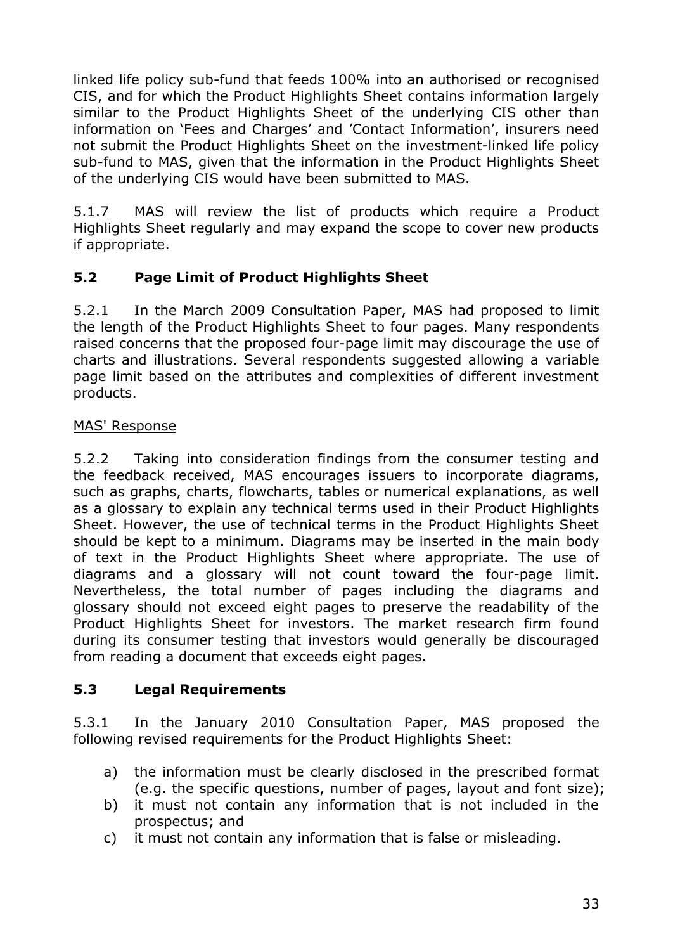linked life policy sub-fund that feeds 100% into an authorised or recognised CIS, and for which the Product Highlights Sheet contains information largely similar to the Product Highlights Sheet of the underlying CIS other than information on 'Fees and Charges' and 'Contact Information', insurers need not submit the Product Highlights Sheet on the investment-linked life policy sub-fund to MAS, given that the information in the Product Highlights Sheet of the underlying CIS would have been submitted to MAS.

5.1.7 MAS will review the list of products which require a Product Highlights Sheet regularly and may expand the scope to cover new products if appropriate.

# **5.2 Page Limit of Product Highlights Sheet**

5.2.1 In the March 2009 Consultation Paper, MAS had proposed to limit the length of the Product Highlights Sheet to four pages. Many respondents raised concerns that the proposed four-page limit may discourage the use of charts and illustrations. Several respondents suggested allowing a variable page limit based on the attributes and complexities of different investment products.

## MAS' Response

5.2.2 Taking into consideration findings from the consumer testing and the feedback received, MAS encourages issuers to incorporate diagrams, such as graphs, charts, flowcharts, tables or numerical explanations, as well as a glossary to explain any technical terms used in their Product Highlights Sheet. However, the use of technical terms in the Product Highlights Sheet should be kept to a minimum. Diagrams may be inserted in the main body of text in the Product Highlights Sheet where appropriate. The use of diagrams and a glossary will not count toward the four-page limit. Nevertheless, the total number of pages including the diagrams and glossary should not exceed eight pages to preserve the readability of the Product Highlights Sheet for investors. The market research firm found during its consumer testing that investors would generally be discouraged from reading a document that exceeds eight pages.

## **5.3 Legal Requirements**

5.3.1 In the January 2010 Consultation Paper, MAS proposed the following revised requirements for the Product Highlights Sheet:

- a) the information must be clearly disclosed in the prescribed format (e.g. the specific questions, number of pages, layout and font size);
- b) it must not contain any information that is not included in the prospectus; and
- c) it must not contain any information that is false or misleading.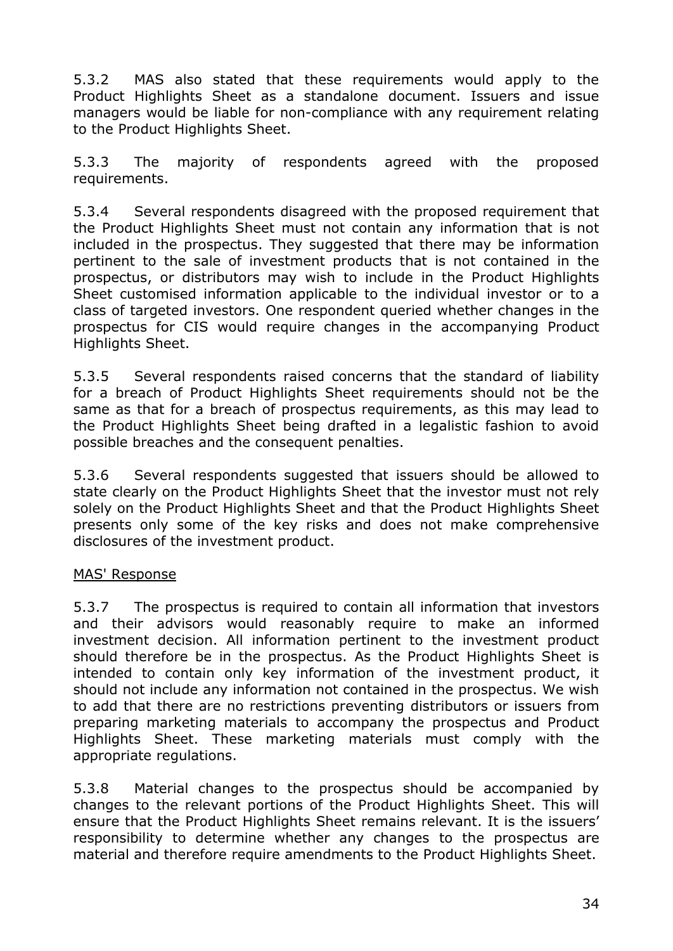5.3.2 MAS also stated that these requirements would apply to the Product Highlights Sheet as a standalone document. Issuers and issue managers would be liable for non-compliance with any requirement relating to the Product Highlights Sheet.

5.3.3 The majority of respondents agreed with the proposed requirements.

5.3.4 Several respondents disagreed with the proposed requirement that the Product Highlights Sheet must not contain any information that is not included in the prospectus. They suggested that there may be information pertinent to the sale of investment products that is not contained in the prospectus, or distributors may wish to include in the Product Highlights Sheet customised information applicable to the individual investor or to a class of targeted investors. One respondent queried whether changes in the prospectus for CIS would require changes in the accompanying Product Highlights Sheet.

5.3.5 Several respondents raised concerns that the standard of liability for a breach of Product Highlights Sheet requirements should not be the same as that for a breach of prospectus requirements, as this may lead to the Product Highlights Sheet being drafted in a legalistic fashion to avoid possible breaches and the consequent penalties.

5.3.6 Several respondents suggested that issuers should be allowed to state clearly on the Product Highlights Sheet that the investor must not rely solely on the Product Highlights Sheet and that the Product Highlights Sheet presents only some of the key risks and does not make comprehensive disclosures of the investment product.

### MAS' Response

5.3.7 The prospectus is required to contain all information that investors and their advisors would reasonably require to make an informed investment decision. All information pertinent to the investment product should therefore be in the prospectus. As the Product Highlights Sheet is intended to contain only key information of the investment product, it should not include any information not contained in the prospectus. We wish to add that there are no restrictions preventing distributors or issuers from preparing marketing materials to accompany the prospectus and Product Highlights Sheet. These marketing materials must comply with the appropriate regulations.

5.3.8 Material changes to the prospectus should be accompanied by changes to the relevant portions of the Product Highlights Sheet. This will ensure that the Product Highlights Sheet remains relevant. It is the issuers' responsibility to determine whether any changes to the prospectus are material and therefore require amendments to the Product Highlights Sheet.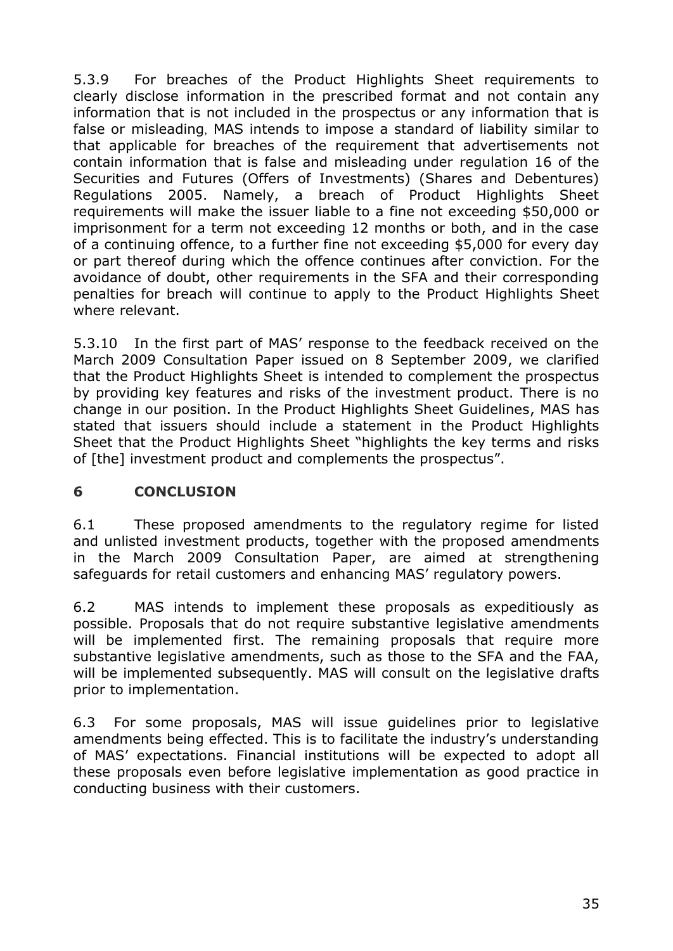5.3.9 For breaches of the Product Highlights Sheet requirements to clearly disclose information in the prescribed format and not contain any information that is not included in the prospectus or any information that is false or misleading, MAS intends to impose a standard of liability similar to that applicable for breaches of the requirement that advertisements not contain information that is false and misleading under regulation 16 of the Securities and Futures (Offers of Investments) (Shares and Debentures) Regulations 2005. Namely, a breach of Product Highlights Sheet requirements will make the issuer liable to a fine not exceeding \$50,000 or imprisonment for a term not exceeding 12 months or both, and in the case of a continuing offence, to a further fine not exceeding \$5,000 for every day or part thereof during which the offence continues after conviction. For the avoidance of doubt, other requirements in the SFA and their corresponding penalties for breach will continue to apply to the Product Highlights Sheet where relevant.

5.3.10 In the first part of MAS" response to the feedback received on the March 2009 Consultation Paper issued on 8 September 2009, we clarified that the Product Highlights Sheet is intended to complement the prospectus by providing key features and risks of the investment product. There is no change in our position. In the Product Highlights Sheet Guidelines, MAS has stated that issuers should include a statement in the Product Highlights Sheet that the Product Highlights Sheet "highlights the key terms and risks of [the] investment product and complements the prospectus".

## **6 CONCLUSION**

6.1 These proposed amendments to the regulatory regime for listed and unlisted investment products, together with the proposed amendments in the March 2009 Consultation Paper, are aimed at strengthening safeguards for retail customers and enhancing MAS' regulatory powers.

6.2 MAS intends to implement these proposals as expeditiously as possible. Proposals that do not require substantive legislative amendments will be implemented first. The remaining proposals that require more substantive legislative amendments, such as those to the SFA and the FAA, will be implemented subsequently. MAS will consult on the legislative drafts prior to implementation.

6.3 For some proposals, MAS will issue guidelines prior to legislative amendments being effected. This is to facilitate the industry"s understanding of MAS" expectations. Financial institutions will be expected to adopt all these proposals even before legislative implementation as good practice in conducting business with their customers.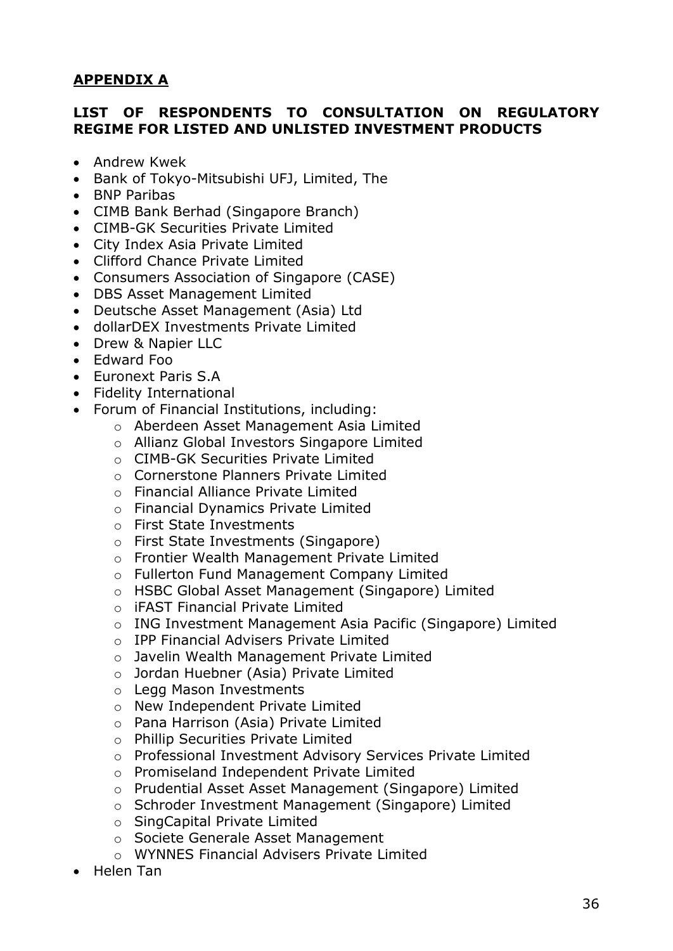## **APPENDIX A**

### **LIST OF RESPONDENTS TO CONSULTATION ON REGULATORY REGIME FOR LISTED AND UNLISTED INVESTMENT PRODUCTS**

- Andrew Kwek
- Bank of Tokyo-Mitsubishi UFJ, Limited, The
- BNP Paribas
- CIMB Bank Berhad (Singapore Branch)
- CIMB-GK Securities Private Limited
- City Index Asia Private Limited
- Clifford Chance Private Limited
- Consumers Association of Singapore (CASE)
- DBS Asset Management Limited
- Deutsche Asset Management (Asia) Ltd
- dollarDEX Investments Private Limited
- Drew & Napier LLC
- Edward Foo
- Euronext Paris S.A
- Fidelity International
- Forum of Financial Institutions, including:
	- o Aberdeen Asset Management Asia Limited
	- o Allianz Global Investors Singapore Limited
	- o CIMB-GK Securities Private Limited
	- o Cornerstone Planners Private Limited
	- o Financial Alliance Private Limited
	- o Financial Dynamics Private Limited
	- o First State Investments
	- o First State Investments (Singapore)
	- o Frontier Wealth Management Private Limited
	- o Fullerton Fund Management Company Limited
	- o HSBC Global Asset Management (Singapore) Limited
	- o iFAST Financial Private Limited
	- o ING Investment Management Asia Pacific (Singapore) Limited
	- o IPP Financial Advisers Private Limited
	- o Javelin Wealth Management Private Limited
	- o Jordan Huebner (Asia) Private Limited
	- o Legg Mason Investments
	- o New Independent Private Limited
	- o Pana Harrison (Asia) Private Limited
	- o Phillip Securities Private Limited
	- o Professional Investment Advisory Services Private Limited
	- o Promiseland Independent Private Limited
	- o Prudential Asset Asset Management (Singapore) Limited
	- o Schroder Investment Management (Singapore) Limited
	- o SingCapital Private Limited
	- o Societe Generale Asset Management
	- o WYNNES Financial Advisers Private Limited
- Helen Tan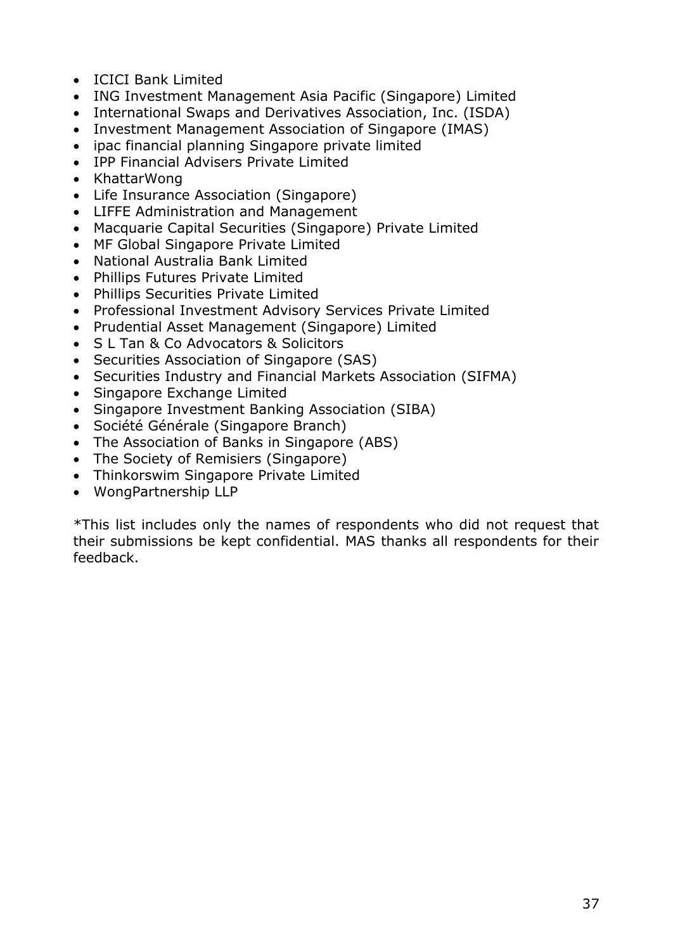- ICICI Bank Limited
- ING Investment Management Asia Pacific (Singapore) Limited
- International Swaps and Derivatives Association, Inc. (ISDA)
- Investment Management Association of Singapore (IMAS)
- ipac financial planning Singapore private limited
- IPP Financial Advisers Private Limited
- KhattarWong
- Life Insurance Association (Singapore)
- LIFFE Administration and Management
- Macquarie Capital Securities (Singapore) Private Limited
- MF Global Singapore Private Limited
- National Australia Bank Limited
- Phillips Futures Private Limited
- Phillips Securities Private Limited
- Professional Investment Advisory Services Private Limited
- Prudential Asset Management (Singapore) Limited
- S L Tan & Co Advocators & Solicitors
- Securities Association of Singapore (SAS)
- Securities Industry and Financial Markets Association (SIFMA)
- Singapore Exchange Limited
- Singapore Investment Banking Association (SIBA)
- Société Générale (Singapore Branch)
- The Association of Banks in Singapore (ABS)
- The Society of Remisiers (Singapore)
- Thinkorswim Singapore Private Limited
- WongPartnership LLP

\*This list includes only the names of respondents who did not request that their submissions be kept confidential. MAS thanks all respondents for their feedback.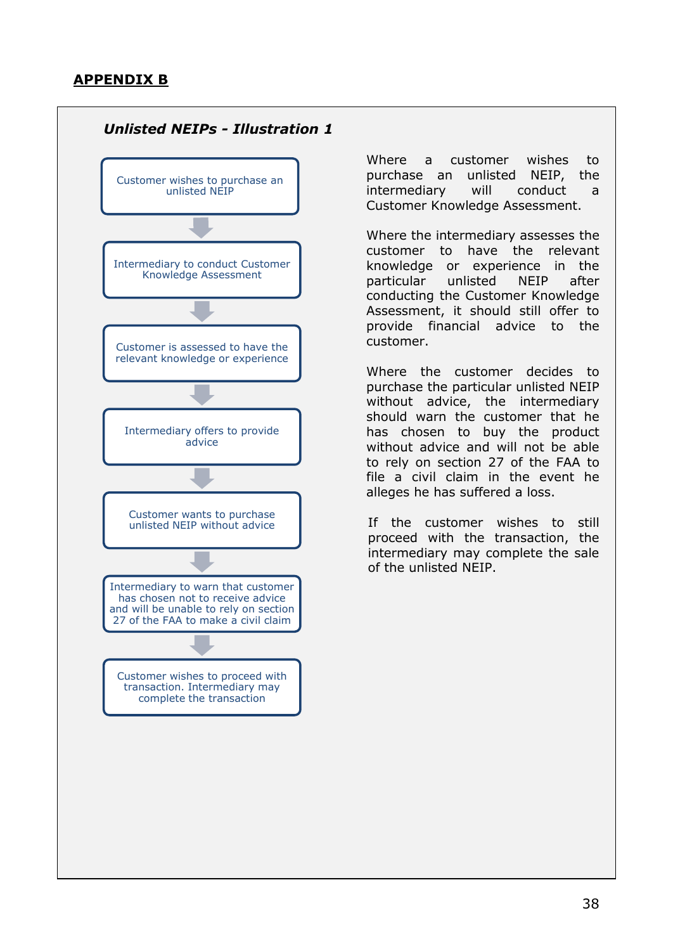

Where a customer wishes to purchase an unlisted NEIP, the intermediary will conduct a Customer Knowledge Assessment.

Where the intermediary assesses the customer to have the relevant knowledge or experience in the particular unlisted NEIP after conducting the Customer Knowledge Assessment, it should still offer to provide financial advice to the customer.

Where the customer decides to purchase the particular unlisted NEIP without advice, the intermediary should warn the customer that he has chosen to buy the product without advice and will not be able to rely on section 27 of the FAA to file a civil claim in the event he alleges he has suffered a loss.

If the customer wishes to still proceed with the transaction, the intermediary may complete the sale of the unlisted NEIP.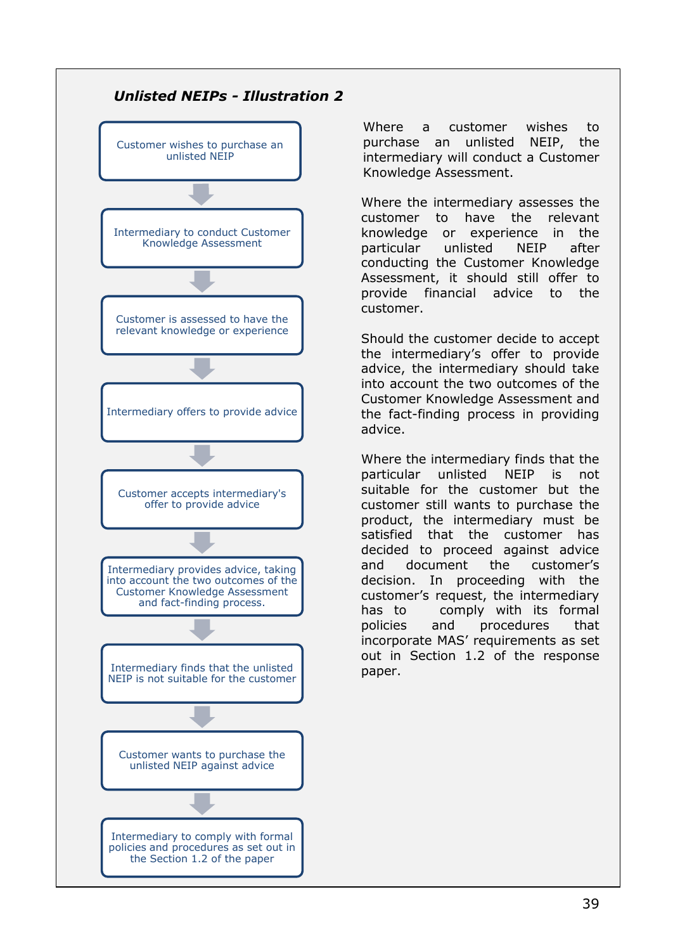

Where a customer wishes to purchase an unlisted NEIP, the intermediary will conduct a Customer Knowledge Assessment.

Where the intermediary assesses the customer to have the relevant knowledge or experience in the particular unlisted NEIP after conducting the Customer Knowledge Assessment, it should still offer to provide financial advice to the customer.

Should the customer decide to accept the intermediary"s offer to provide advice, the intermediary should take into account the two outcomes of the Customer Knowledge Assessment and the fact-finding process in providing advice.

Where the intermediary finds that the particular unlisted NEIP is not suitable for the customer but the customer still wants to purchase the product, the intermediary must be satisfied that the customer has decided to proceed against advice and document the customer"s decision. In proceeding with the customer"s request, the intermediary has to comply with its formal policies and procedures that incorporate MAS' requirements as set out in Section 1.2 of the response paper.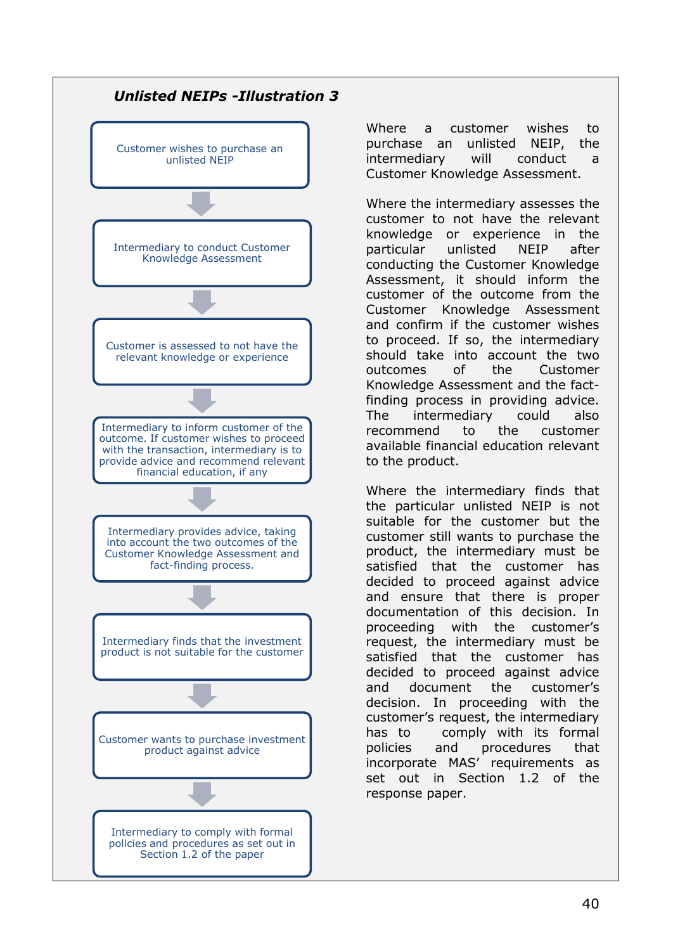

Where a customer wishes to purchase an unlisted NEIP, the intermediary will conduct a Customer Knowledge Assessment.

Where the intermediary assesses the customer to not have the relevant knowledge or experience in the particular unlisted NEIP after conducting the Customer Knowledge Assessment, it should inform the customer of the outcome from the Customer Knowledge Assessment and confirm if the customer wishes to proceed. If so, the intermediary should take into account the two outcomes of the Customer Knowledge Assessment and the factfinding process in providing advice. The intermediary could also recommend to the customer available financial education relevant to the product.

Where the intermediary finds that the particular unlisted NEIP is not suitable for the customer but the customer still wants to purchase the product, the intermediary must be satisfied that the customer has decided to proceed against advice and ensure that there is proper documentation of this decision. In proceeding with the customer"s request, the intermediary must be satisfied that the customer has decided to proceed against advice and document the customer"s decision. In proceeding with the customer's request, the intermediary has to comply with its formal policies and procedures that incorporate MAS' requirements as set out in Section 1.2 of the response paper.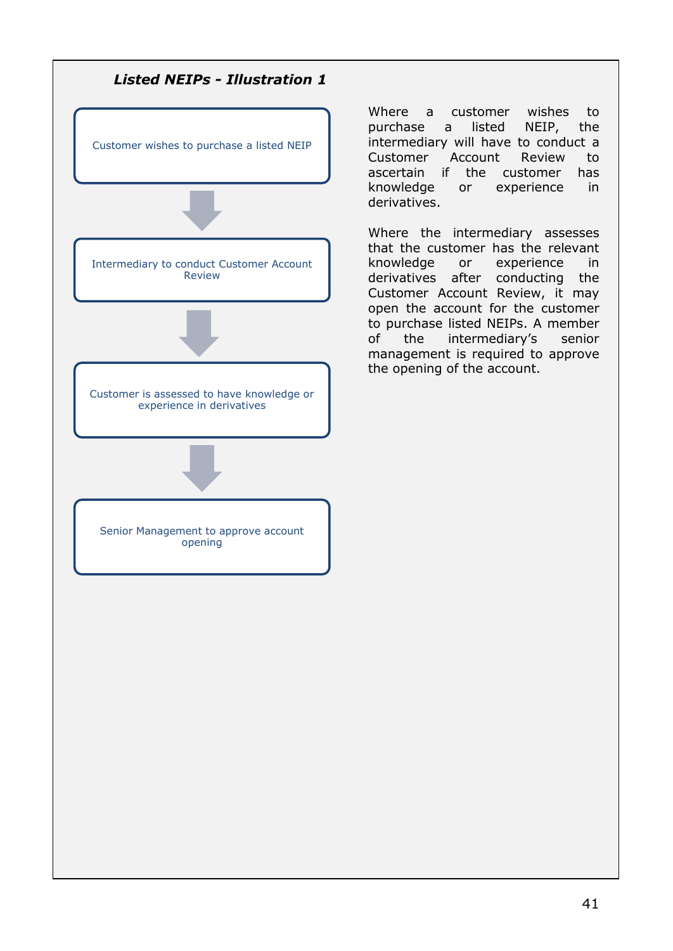

Where a customer wishes to purchase a listed NEIP, the intermediary will have to conduct a Customer Account Review to ascertain if the customer has knowledge or experience in derivatives.

Where the intermediary assesses that the customer has the relevant knowledge or experience in derivatives after conducting the Customer Account Review, it may open the account for the customer to purchase listed NEIPs. A member of the intermediary"s senior management is required to approve the opening of the account.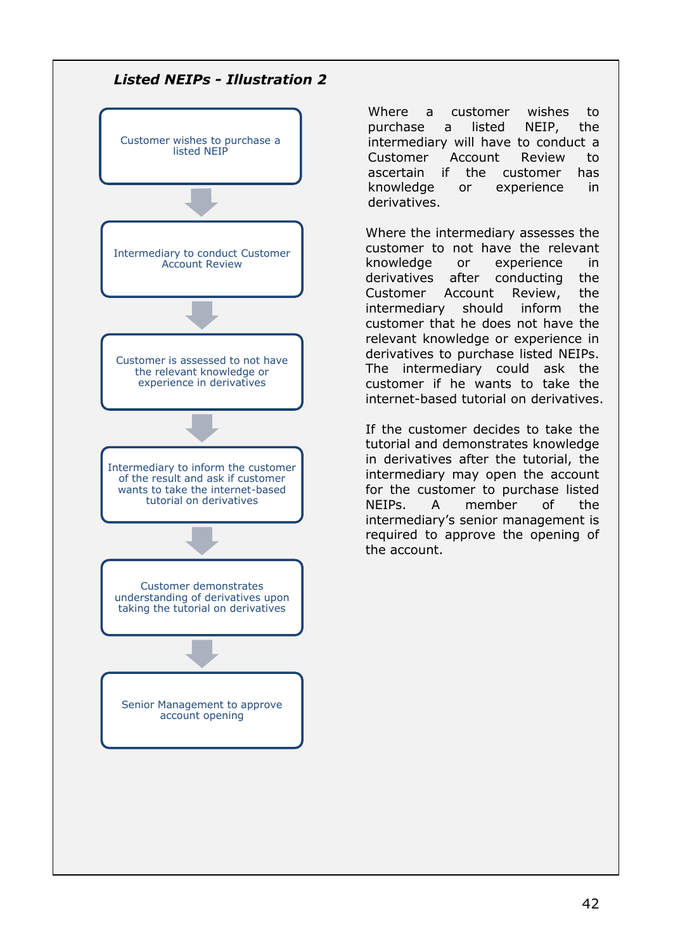

Where a customer wishes to purchase a listed NEIP, the intermediary will have to conduct a Customer Account Review to ascertain if the customer has knowledge or experience in derivatives.

Where the intermediary assesses the customer to not have the relevant knowledge or experience in derivatives after conducting the Customer Account Review, the intermediary should inform the customer that he does not have the relevant knowledge or experience in derivatives to purchase listed NEIPs. The intermediary could ask the customer if he wants to take the internet-based tutorial on derivatives.

If the customer decides to take the tutorial and demonstrates knowledge in derivatives after the tutorial, the intermediary may open the account for the customer to purchase listed NEIPs. A member of the intermediary"s senior management is required to approve the opening of the account.